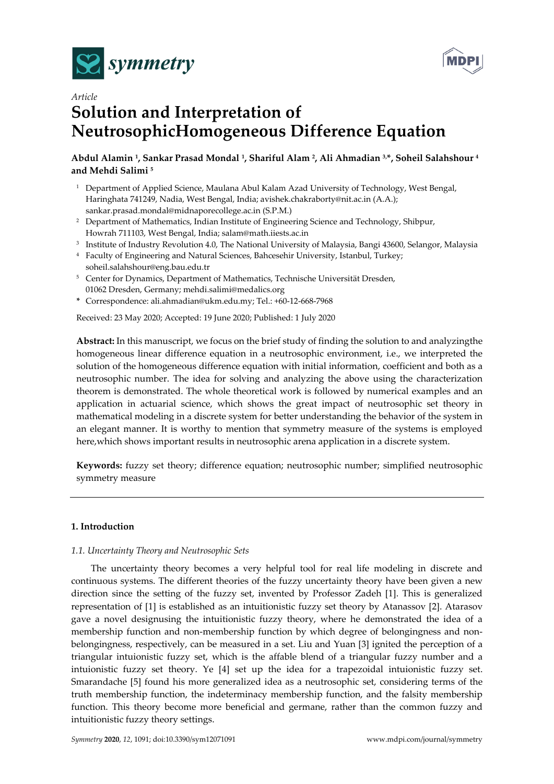



# *Article*  **Solution and Interpretation of NeutrosophicHomogeneous Difference Equation**

# **Abdul Alamin 1, Sankar Prasad Mondal 1, Shariful Alam 2, Ali Ahmadian 3,\*, Soheil Salahshour 4 and Mehdi Salimi 5**

- <sup>1</sup> Department of Applied Science, Maulana Abul Kalam Azad University of Technology, West Bengal, Haringhata 741249, Nadia, West Bengal, India; avishek.chakraborty@nit.ac.in (A.A.); sankar.prasad.mondal@midnaporecollege.ac.in (S.P.M.)
- <sup>2</sup> Department of Mathematics, Indian Institute of Engineering Science and Technology, Shibpur, Howrah 711103, West Bengal, India; salam@math.iiests.ac.in
- <sup>3</sup> Institute of Industry Revolution 4.0, The National University of Malaysia, Bangi 43600, Selangor, Malaysia
- 4 Faculty of Engineering and Natural Sciences, Bahcesehir University, Istanbul, Turkey; soheil.salahshour@eng.bau.edu.tr
- <sup>5</sup> Center for Dynamics, Department of Mathematics, Technische Universität Dresden, 01062 Dresden, Germany; mehdi.salimi@medalics.org
- **\*** Correspondence: ali.ahmadian@ukm.edu.my; Tel.: +60-12-668-7968

Received: 23 May 2020; Accepted: 19 June 2020; Published: 1 July 2020

**Abstract:** In this manuscript, we focus on the brief study of finding the solution to and analyzingthe homogeneous linear difference equation in a neutrosophic environment, i.e., we interpreted the solution of the homogeneous difference equation with initial information, coefficient and both as a neutrosophic number. The idea for solving and analyzing the above using the characterization theorem is demonstrated. The whole theoretical work is followed by numerical examples and an application in actuarial science, which shows the great impact of neutrosophic set theory in mathematical modeling in a discrete system for better understanding the behavior of the system in an elegant manner. It is worthy to mention that symmetry measure of the systems is employed here,which shows important results in neutrosophic arena application in a discrete system.

**Keywords:** fuzzy set theory; difference equation; neutrosophic number; simplified neutrosophic symmetry measure

## **1. Introduction**

## *1.1. Uncertainty Theory and Neutrosophic Sets*

The uncertainty theory becomes a very helpful tool for real life modeling in discrete and continuous systems. The different theories of the fuzzy uncertainty theory have been given a new direction since the setting of the fuzzy set, invented by Professor Zadeh [1]. This is generalized representation of [1] is established as an intuitionistic fuzzy set theory by Atanassov [2]. Atarasov gave a novel designusing the intuitionistic fuzzy theory, where he demonstrated the idea of a membership function and non-membership function by which degree of belongingness and nonbelongingness, respectively, can be measured in a set. Liu and Yuan [3] ignited the perception of a triangular intuionistic fuzzy set, which is the affable blend of a triangular fuzzy number and a intuionistic fuzzy set theory. Ye [4] set up the idea for a trapezoidal intuionistic fuzzy set. Smarandache [5] found his more generalized idea as a neutrosophic set, considering terms of the truth membership function, the indeterminacy membership function, and the falsity membership function. This theory become more beneficial and germane, rather than the common fuzzy and intuitionistic fuzzy theory settings.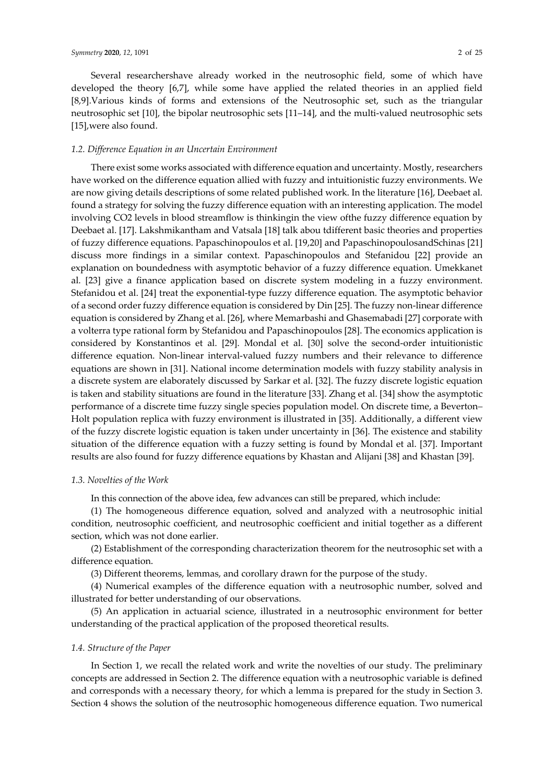Several researchershave already worked in the neutrosophic field, some of which have developed the theory [6,7], while some have applied the related theories in an applied field [8,9].Various kinds of forms and extensions of the Neutrosophic set, such as the triangular neutrosophic set [10], the bipolar neutrosophic sets [11–14], and the multi-valued neutrosophic sets [15],were also found.

#### *1.2. Difference Equation in an Uncertain Environment*

There exist some works associated with difference equation and uncertainty. Mostly, researchers have worked on the difference equation allied with fuzzy and intuitionistic fuzzy environments. We are now giving details descriptions of some related published work. In the literature [16], Deebaet al. found a strategy for solving the fuzzy difference equation with an interesting application. The model involving CO2 levels in blood streamflow is thinkingin the view ofthe fuzzy difference equation by Deebaet al. [17]. Lakshmikantham and Vatsala [18] talk abou tdifferent basic theories and properties of fuzzy difference equations. Papaschinopoulos et al. [19,20] and PapaschinopoulosandSchinas [21] discuss more findings in a similar context. Papaschinopoulos and Stefanidou [22] provide an explanation on boundedness with asymptotic behavior of a fuzzy difference equation. Umekkanet al. [23] give a finance application based on discrete system modeling in a fuzzy environment. Stefanidou et al. [24] treat the exponential-type fuzzy difference equation. The asymptotic behavior of a second order fuzzy difference equation is considered by Din [25]. The fuzzy non-linear difference equation is considered by Zhang et al. [26], where Memarbashi and Ghasemabadi [27] corporate with a volterra type rational form by Stefanidou and Papaschinopoulos [28]. The economics application is considered by Konstantinos et al. [29]. Mondal et al. [30] solve the second-order intuitionistic difference equation. Non-linear interval-valued fuzzy numbers and their relevance to difference equations are shown in [31]. National income determination models with fuzzy stability analysis in a discrete system are elaborately discussed by Sarkar et al. [32]. The fuzzy discrete logistic equation is taken and stability situations are found in the literature [33]. Zhang et al. [34] show the asymptotic performance of a discrete time fuzzy single species population model. On discrete time, a Beverton– Holt population replica with fuzzy environment is illustrated in [35]. Additionally, a different view of the fuzzy discrete logistic equation is taken under uncertainty in [36]. The existence and stability situation of the difference equation with a fuzzy setting is found by Mondal et al. [37]. Important results are also found for fuzzy difference equations by Khastan and Alijani [38] and Khastan [39].

#### *1.3. Novelties of the Work*

In this connection of the above idea, few advances can still be prepared, which include:

(1) The homogeneous difference equation, solved and analyzed with a neutrosophic initial condition, neutrosophic coefficient, and neutrosophic coefficient and initial together as a different section, which was not done earlier.

(2) Establishment of the corresponding characterization theorem for the neutrosophic set with a difference equation.

(3) Different theorems, lemmas, and corollary drawn for the purpose of the study.

(4) Numerical examples of the difference equation with a neutrosophic number, solved and illustrated for better understanding of our observations.

(5) An application in actuarial science, illustrated in a neutrosophic environment for better understanding of the practical application of the proposed theoretical results.

#### *1.4. Structure of the Paper*

In Section 1, we recall the related work and write the novelties of our study. The preliminary concepts are addressed in Section 2. The difference equation with a neutrosophic variable is defined and corresponds with a necessary theory, for which a lemma is prepared for the study in Section 3. Section 4 shows the solution of the neutrosophic homogeneous difference equation. Two numerical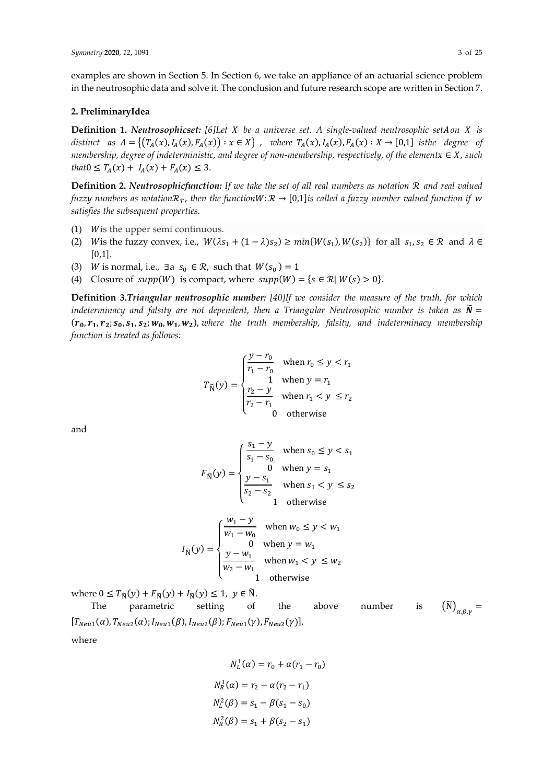examples are shown in Section 5. In Section 6, we take an appliance of an actuarial science problem in the neutrosophic data and solve it. The conclusion and future research scope are written in Section 7.

#### **2. PreliminaryIdea**

**Definition 1.** *Neutrosophicset: [6]Let be a universe set. A single-valued neutrosophic seton is distinct as*  $A = \{(T_A(x), I_A(x), F_A(x)) : x \in X\}$ , *where*  $T_A(x), I_A(x), F_A(x) : X \to [0,1]$  *isthe degree of membership, degree of indeterministic, and degree of non-membership, respectively, of the elementx* ∈ *X*, *such that* $0 \leq T_A(x) + I_A(x) + F_A(x) \leq 3$ .

**Definition 2. Neutrosophicfunction:** If we take the set of all real numbers as notation  $\mathcal{R}$  and real valued *fuzzy numbers as notation* $\mathcal{R}_r$ , *then the function* $W: \mathcal{R} \to [0,1]$ *is called a fuzzy number valued function if* w *satisfies the subsequent properties.*

- (1) W is the upper semi continuous.
- (2) W is the fuzzy convex, i.e.,  $W(\lambda s_1 + (1 \lambda)s_2) \ge \min\{W(s_1), W(s_2)\}$  for all  $s_1, s_2 \in \mathbb{R}$  and  $\lambda \in$  $[0,1]$ .
- (3) *W* is normal, i.e., ∃a  $s_0 \in \mathcal{R}$ , such that  $W(s_0) = 1$
- (4) Closure of  $supp(W)$  is compact, where  $supp(W) = \{s \in \mathcal{R} | W(s) > 0\}.$

**Definition 3.***Triangular neutrosophic number: [40]If we consider the measure of the truth, for which indeterminacy and falsity are not dependent, then a Triangular Neutrosophic number is taken as*  $\tilde{N} =$  $(r_0, r_1, r_2; s_0, s_1, s_2; w_0, w_1, w_2)$ , where the truth membership, falsity, and indeterminacy membership *function is treated as follows:*

$$
T_{\widetilde{N}}(y) = \begin{cases} \frac{y - r_0}{r_1 - r_0} & \text{when } r_0 \le y < r_1 \\ 1 & \text{when } y = r_1 \\ \frac{r_2 - y}{r_2 - r_1} & \text{when } r_1 < y \le r_2 \\ 0 & \text{otherwise} \end{cases}
$$

and

$$
F_{\widetilde{N}}(y) = \begin{cases} \frac{s_1 - y}{s_1 - s_0} & \text{when } s_0 \le y < s_1 \\ 0 & \text{when } y = s_1 \\ \frac{y - s_1}{s_2 - s_2} & \text{when } s_1 < y \le s_2 \\ 1 & \text{otherwise} \end{cases}
$$

$$
I_{\widetilde{N}}(y) = \begin{cases} \frac{w_1 - y}{w_1 - w_0} & \text{when } w_0 \le y < w_1 \\ 0 & \text{when } y = w_1 \\ \frac{y - w_1}{w_2 - w_1} & \text{when } w_1 < y \le w_2 \\ 1 & \text{otherwise} \end{cases}
$$

where  $0 \leq T_{\widetilde{\mathcal{N}}}(\mathcal{Y}) + F_{\widetilde{\mathcal{N}}}(\mathcal{Y}) + I_{\widetilde{\mathcal{N}}}(\mathcal{Y}) \leq 1, \ \mathcal{Y} \in \widetilde{\mathcal{N}}.$ 

The parametric setting of the above number is  $(\widetilde{N})_{\alpha R\nu}$  =  $[T_{Neu1}(\alpha), T_{Neu2}(\alpha); I_{Neu1}(\beta), I_{Neu2}(\beta); F_{Neu1}(\gamma), F_{Neu2}(\gamma)]$ where

$$
N_L^1(\alpha) = r_0 + \alpha (r_1 - r_0)
$$
  

$$
N_R^1(\alpha) = r_2 - \alpha (r_2 - r_1)
$$
  

$$
N_L^2(\beta) = s_1 - \beta (s_1 - s_0)
$$
  

$$
N_R^2(\beta) = s_1 + \beta (s_2 - s_1)
$$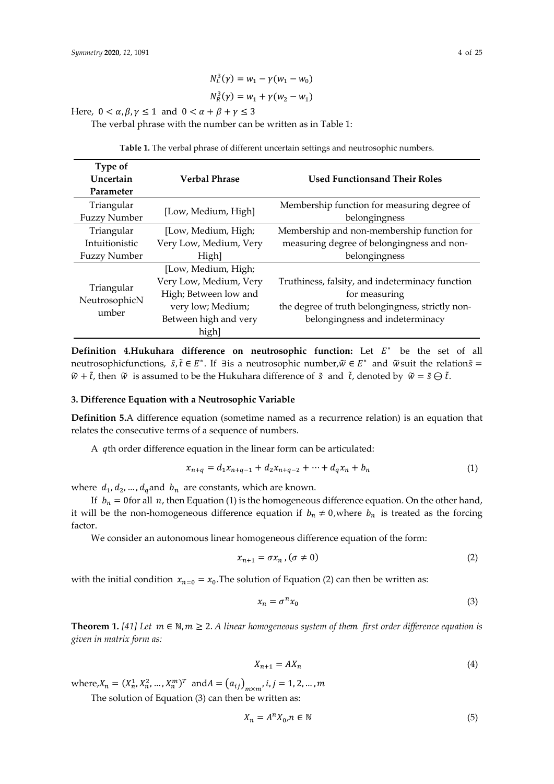$$
N_L^3(\gamma) = w_1 - \gamma (w_1 - w_0)
$$
  

$$
N_R^3(\gamma) = w_1 + \gamma (w_2 - w_1)
$$

Here,  $0 < \alpha, \beta, \gamma \le 1$  and  $0 < \alpha + \beta + \gamma \le 3$ 

The verbal phrase with the number can be written as in Table 1:

| Type of<br>Uncertain<br>Parameter                                             | <b>Verbal Phrase</b>                                                                                                          | <b>Used Functionsand Their Roles</b>                                                                                                                    |  |  |
|-------------------------------------------------------------------------------|-------------------------------------------------------------------------------------------------------------------------------|---------------------------------------------------------------------------------------------------------------------------------------------------------|--|--|
| Triangular<br><b>Fuzzy Number</b>                                             | [Low, Medium, High]                                                                                                           | Membership function for measuring degree of<br>belongingness                                                                                            |  |  |
| Triangular<br>[Low, Medium, High;<br>Very Low, Medium, Very<br>Intuitionistic |                                                                                                                               | Membership and non-membership function for<br>measuring degree of belongingness and non-                                                                |  |  |
| <b>Fuzzy Number</b>                                                           | High]                                                                                                                         | belongingness                                                                                                                                           |  |  |
| Triangular<br>NeutrosophicN<br>umber                                          | [Low, Medium, High;<br>Very Low, Medium, Very<br>High; Between low and<br>very low; Medium;<br>Between high and very<br>high] | Truthiness, falsity, and indeterminacy function<br>for measuring<br>the degree of truth belongingness, strictly non-<br>belongingness and indeterminacy |  |  |

**Table 1.** The verbal phrase of different uncertain settings and neutrosophic numbers.

**Definition 4.Hukuhara difference on neutrosophic function:** Let  $E^*$  be the set of all neutrosophicfunctions,  $\tilde{s}$ ,  $\tilde{t}$  ∈  $E^*$ . If ∃is a neutrosophic number,  $\tilde{w}$  ∈  $E^*$  and  $\tilde{w}$ suit the relation $\tilde{s}$  =  $\tilde{w}$  +  $\tilde{t}$ , then  $\tilde{w}$  is assumed to be the Hukuhara difference of  $\tilde{s}$  and  $\tilde{t}$ , denoted by  $\tilde{w} = \tilde{s} \ominus \tilde{t}$ .

#### **3. Difference Equation with a Neutrosophic Variable**

**Definition 5.**A difference equation (sometime named as a recurrence relation) is an equation that relates the consecutive terms of a sequence of numbers.

A qth order difference equation in the linear form can be articulated:

$$
x_{n+q} = d_1 x_{n+q-1} + d_2 x_{n+q-2} + \dots + d_q x_n + b_n \tag{1}
$$

where  $d_1, d_2, ..., d_q$  and  $b_n$  are constants, which are known.

If  $b_n = 0$  for all *n*, then Equation (1) is the homogeneous difference equation. On the other hand, it will be the non-homogeneous difference equation if  $b_n \neq 0$ , where  $b_n$  is treated as the forcing factor.

We consider an autonomous linear homogeneous difference equation of the form:

$$
x_{n+1} = \sigma x_n \,, (\sigma \neq 0) \tag{2}
$$

with the initial condition  $x_{n=0} = x_0$ . The solution of Equation (2) can then be written as:

$$
x_n = \sigma^n x_0 \tag{3}
$$

**Theorem 1.** [41] Let  $m \in \mathbb{N}, m \geq 2$ . A linear homogeneous system of them first order difference equation is *given in matrix form as:*

$$
X_{n+1} = AX_n \tag{4}
$$

where,  $X_n = (X_n^1, X_n^2, ..., X_n^m)^T$  and  $A = (a_{ij})_{m \times m}$ ,  $i, j = 1, 2, ..., m$ 

The solution of Equation (3) can then be written as:

$$
X_n = A^n X_0, n \in \mathbb{N} \tag{5}
$$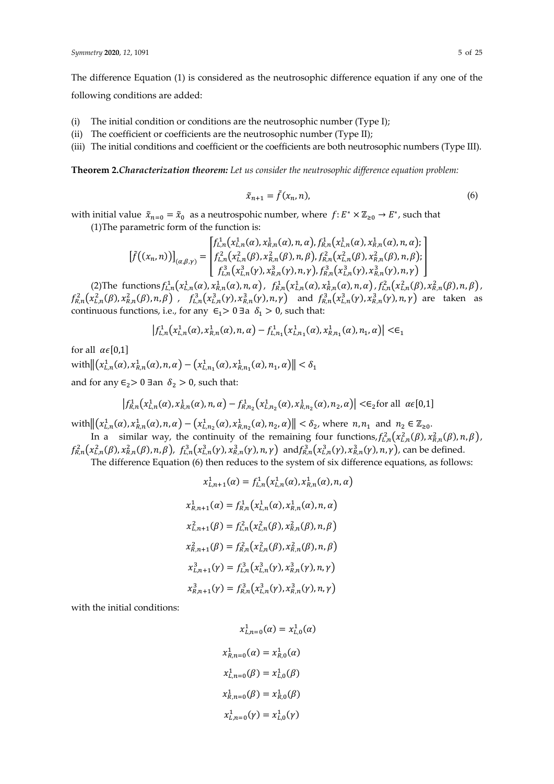The difference Equation (1) is considered as the neutrosophic difference equation if any one of the following conditions are added:

- (i) The initial condition or conditions are the neutrosophic number (Type I);
- (ii) The coefficient or coefficients are the neutrosophic number (Type II);
- (iii) The initial conditions and coefficient or the coefficients are both neutrosophic numbers (Type III).

**Theorem 2.***Characterization theorem: Let us consider the neutrosophic difference equation problem:*

$$
\tilde{x}_{n+1} = \tilde{f}(x_n, n),\tag{6}
$$

with initial value  $\tilde{x}_{n=0} = \tilde{x}_0$  as a neutrospohic number, where  $f: E^* \times \mathbb{Z}_{\geq 0} \to E^*$ , such that (1)The parametric form of the function is:

$$
\[\tilde{f}((x_n, n))\]_{(\alpha, \beta, \gamma)} = \begin{bmatrix} f_{L,n}^1(x_{L,n}^1(\alpha), x_{R,n}^1(\alpha), n, \alpha), f_{R,n}^1(x_{L,n}^1(\alpha), x_{R,n}^1(\alpha), n, \alpha); \\ f_{L,n}^2(x_{L,n}^2(\beta), x_{R,n}^2(\beta), n, \beta), f_{R,n}^2(x_{L,n}^2(\beta), x_{R,n}^2(\beta), n, \beta); \\ f_{L,n}^3(x_{L,n}^3(\gamma), x_{R,n}^3(\gamma), n, \gamma), f_{R,n}^3(x_{L,n}^3(\gamma), x_{R,n}^3(\gamma), n, \gamma) \end{bmatrix}
$$

(2) The functions  $f_{L,n}^1(x_{L,n}^1(\alpha), x_{R,n}^1(\alpha), n, \alpha)$ ,  $f_{R,n}^1(x_{L,n}^1(\alpha), x_{R,n}^1(\alpha), n, \alpha)$ ,  $f_{L,n}^2(x_{L,n}^2(\beta), x_{R,n}^2(\beta), n, \beta)$ ,  $f_{R,n}^2(x_{L,n}^2(\beta),x_{R,n}^2(\beta),n,\beta)$  ,  $f_{L,n}^3(x_{L,n}^3(\gamma),x_{R,n}^3(\gamma),n,\gamma)$  and  $f_{R,n}^3(x_{L,n}^3(\gamma),x_{R,n}^3(\gamma),n,\gamma)$  are taken as continuous functions, i.e., for any  $\epsilon_1 > 0$  ∃a  $\delta_1 > 0$ , such that:

$$
\left|f_{L,n}^1(\chi_{L,n}^1(\alpha),\chi_{R,n}^1(\alpha),n,\alpha)-f_{L,n_1}^1(\chi_{L,n_1}^1(\alpha),\chi_{R,n_1}^1(\alpha),n_1,\alpha)\right| < \epsilon_1
$$

for all  $\alpha \in [0,1]$ 

with  $\left\|\left(x_{L,n}^1(\alpha), x_{R,n}^1(\alpha), n, \alpha\right) - \left(x_{L,n_1}^1(\alpha), x_{R,n_1}^1(\alpha), n_1, \alpha\right)\right\| < \delta_1$ and for any  $\epsilon_2$ > 0 ∃an  $\delta_2$  > 0, such that:

$$
\left|f_{R,n}^1(x_{L,n}^1(\alpha), x_{R,n}^1(\alpha), n, \alpha) - f_{R,n_2}^1(x_{L,n_2}^1(\alpha), x_{R,n_2}^1(\alpha), n_2, \alpha)\right| \leq \epsilon_2 \text{for all } \alpha \in [0,1]
$$

with  $\|(x_{L,n}^1(\alpha), x_{R,n}^1(\alpha), n, \alpha) - (x_{L,n_2}^1(\alpha), x_{R,n_2}^1(\alpha), n_2, \alpha)\| < \delta_2$ , where  $n, n_1$  and  $n_2 \in \mathbb{Z}_{\geq 0}$ .

In a similar way, the continuity of the remaining four functions,  $f_{L,n}^2(x_{L,n}^2(\beta), x_{R,n}^2(\beta), n, \beta)$ ,  $f_{R,n}^2(x_{L,n}^2(\beta), x_{R,n}^2(\beta), n, \beta)$ ,  $f_{L,n}^3(x_{L,n}^3(\gamma), x_{R,n}^3(\gamma), n, \gamma)$  and  $f_{R,n}^3(x_{L,n}^3(\gamma), x_{R,n}^3(\gamma), n, \gamma)$ , can be defined.

The difference Equation (6) then reduces to the system of six difference equations, as follows:

$$
x_{L,n+1}^1(\alpha) = f_{L,n}^1(x_{L,n}^1(\alpha), x_{R,n}^1(\alpha), n, \alpha)
$$
  
\n
$$
x_{R,n+1}^1(\alpha) = f_{R,n}^1(x_{L,n}^1(\alpha), x_{R,n}^1(\alpha), n, \alpha)
$$
  
\n
$$
x_{L,n+1}^2(\beta) = f_{L,n}^2(x_{L,n}^2(\beta), x_{R,n}^2(\beta), n, \beta)
$$
  
\n
$$
x_{R,n+1}^2(\beta) = f_{R,n}^2(x_{L,n}^2(\beta), x_{R,n}^2(\beta), n, \beta)
$$
  
\n
$$
x_{L,n+1}^3(\gamma) = f_{L,n}^3(x_{L,n}^3(\gamma), x_{R,n}^3(\gamma), n, \gamma)
$$
  
\n
$$
x_{R,n+1}^3(\gamma) = f_{R,n}^3(x_{L,n}^3(\gamma), x_{R,n}^3(\gamma), n, \gamma)
$$

with the initial conditions:

$$
x_{L,n=0}^{1}(\alpha) = x_{L,0}^{1}(\alpha)
$$

$$
x_{R,n=0}^{1}(\alpha) = x_{R,0}^{1}(\alpha)
$$

$$
x_{L,n=0}^{1}(\beta) = x_{L,0}^{1}(\beta)
$$

$$
x_{R,n=0}^{1}(\beta) = x_{R,0}^{1}(\beta)
$$

$$
x_{L,n=0}^{1}(\gamma) = x_{L,0}^{1}(\gamma)
$$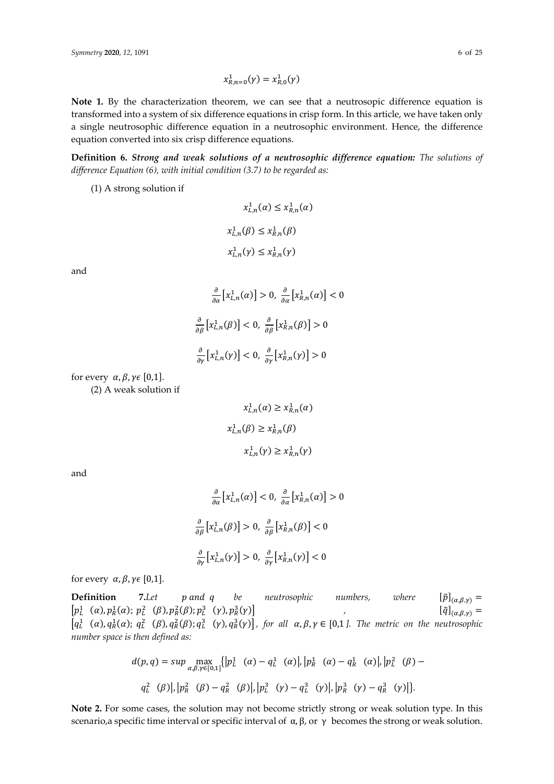$$
x_{R,n=0}^{1}(\gamma) = x_{R,0}^{1}(\gamma)
$$

Note 1. By the characterization theorem, we can see that a neutrosopic difference equation is transformed into a system of six difference equations in crisp form. In this article, we have taken only a single neutrosophic difference equation in a neutrosophic environment. Hence, the difference equation converted into six crisp difference equations.

**Definition 6.** *Strong and weak solutions of a neutrosophic difference equation: The solutions of difference Equation (6), with initial condition (3.7) to be regarded as:*

(1) A strong solution if

$$
x_{L,n}^1(\alpha) \le x_{R,n}^1(\alpha)
$$
  

$$
x_{L,n}^1(\beta) \le x_{R,n}^1(\beta)
$$
  

$$
x_{L,n}^1(\gamma) \le x_{R,n}^1(\gamma)
$$

and

$$
\frac{\partial}{\partial \alpha} \left[ x_{L,n}^1(\alpha) \right] > 0, \frac{\partial}{\partial \alpha} \left[ x_{R,n}^1(\alpha) \right] < 0
$$
\n
$$
\frac{\partial}{\partial \beta} \left[ x_{L,n}^1(\beta) \right] < 0, \frac{\partial}{\partial \beta} \left[ x_{R,n}^1(\beta) \right] > 0
$$
\n
$$
\frac{\partial}{\partial \gamma} \left[ x_{L,n}^1(\gamma) \right] < 0, \frac{\partial}{\partial \gamma} \left[ x_{R,n}^1(\gamma) \right] > 0
$$

for every  $\alpha$ ,  $\beta$ ,  $\gamma \in [0,1]$ .

(2) A weak solution if

$$
x_{L,n}^1(\alpha) \ge x_{R,n}^1(\alpha)
$$
  

$$
x_{L,n}^1(\beta) \ge x_{R,n}^1(\beta)
$$
  

$$
x_{L,n}^1(\gamma) \ge x_{R,n}^1(\gamma)
$$

and

$$
\frac{\partial}{\partial \alpha} \left[ x_{L,n}^1(\alpha) \right] < 0, \frac{\partial}{\partial \alpha} \left[ x_{R,n}^1(\alpha) \right] > 0
$$
\n
$$
\frac{\partial}{\partial \beta} \left[ x_{L,n}^1(\beta) \right] > 0, \frac{\partial}{\partial \beta} \left[ x_{R,n}^1(\beta) \right] < 0
$$
\n
$$
\frac{\partial}{\partial \gamma} \left[ x_{L,n}^1(\gamma) \right] > 0, \frac{\partial}{\partial \gamma} \left[ x_{R,n}^1(\gamma) \right] < 0
$$

for every  $\alpha$ ,  $\beta$ ,  $\gamma \in [0,1]$ .

**Definition** 7.Let *p* and *q* be neutrosophic numbers, where  $[\tilde{p}]_{(\alpha,\beta,\gamma)} =$  $\left[p_L^1 \quad (\alpha), p_R^1(\alpha); p_L^2 \quad (\beta), p_R^2(\beta); p_L^3 \quad (\gamma), p_R^3\right]$  $\left[\tilde{q}\right]_{(\alpha,\beta,\gamma)} =$  $\left[q_L^1(\alpha), q_R^1(\alpha); q_L^2(\beta), q_R^2(\beta); q_L^3(\gamma), q_R^3(\gamma)\right]$ , for all  $\alpha, \beta, \gamma \in [0,1]$ . The metric on the neutrosophic *number space is then defined as:* 

$$
d(p,q) = \sup \max_{\alpha,\beta,\gamma \in [0,1]} \{ |p^1_L(\alpha) - q^1_L(\alpha)|, |p^1_R(\alpha) - q^1_R(\alpha)|, |p^2_L(\beta) - q^2_L(\beta)|, |p^2_R(\beta) - q^2_R(\beta)|, |p^3_L(\gamma) - q^3_L(\gamma)|, |p^3_R(\gamma) - q^3_R(\gamma)| \}.
$$

**Note 2.** For some cases, the solution may not become strictly strong or weak solution type. In this scenario,a specific time interval or specific interval of α, β, or γ becomes the strong or weak solution.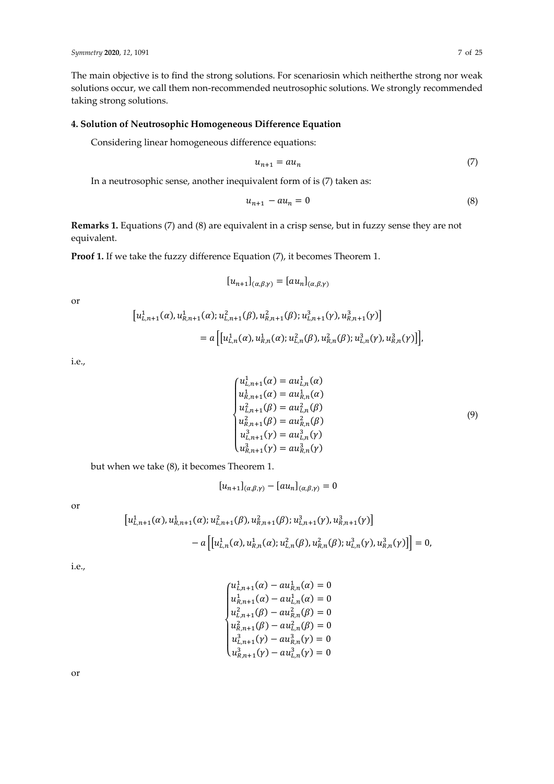The main objective is to find the strong solutions. For scenariosin which neitherthe strong nor weak solutions occur, we call them non-recommended neutrosophic solutions. We strongly recommended taking strong solutions.

## **4. Solution of Neutrosophic Homogeneous Difference Equation**

Considering linear homogeneous difference equations:

$$
u_{n+1} = au_n \tag{7}
$$

In a neutrosophic sense, another inequivalent form of is (7) taken as:

$$
u_{n+1} - au_n = 0 \tag{8}
$$

**Remarks 1.** Equations (7) and (8) are equivalent in a crisp sense, but in fuzzy sense they are not equivalent.

**Proof 1.** If we take the fuzzy difference Equation (7), it becomes Theorem 1.

$$
[u_{n+1}]_{(\alpha,\beta,\gamma)} = [au_n]_{(\alpha,\beta,\gamma)}
$$

or

$$
\begin{aligned} \left[u_{L,n+1}^1(\alpha), u_{R,n+1}^1(\alpha); u_{L,n+1}^2(\beta), u_{R,n+1}^2(\beta); u_{L,n+1}^3(\gamma), u_{R,n+1}^3(\gamma)\right] \\ &= a\left[\left[u_{L,n}^1(\alpha), u_{R,n}^1(\alpha); u_{L,n}^2(\beta), u_{R,n}^2(\beta); u_{L,n}^3(\gamma), u_{R,n}^3(\gamma)\right]\right], \end{aligned}
$$

i.e.,

$$
\begin{cases}\nu_{L,n+1}^{1}(\alpha) = au_{L,n}^{1}(\alpha) \\
u_{R,n+1}^{1}(\alpha) = au_{R,n}^{1}(\alpha) \\
u_{L,n+1}^{2}(\beta) = au_{L,n}^{2}(\beta) \\
u_{R,n+1}^{2}(\beta) = au_{R,n}^{2}(\beta) \\
u_{L,n+1}^{3}(\gamma) = au_{L,n}^{3}(\gamma)\n\end{cases}
$$
\n(9)

but when we take (8), it becomes Theorem 1.

$$
[u_{n+1}]_{(\alpha,\beta,\gamma)} - [au_n]_{(\alpha,\beta,\gamma)} = 0
$$

or

$$
\begin{aligned} \left[u_{L,n+1}^1(\alpha), u_{R,n+1}^1(\alpha); u_{L,n+1}^2(\beta), u_{R,n+1}^2(\beta); u_{L,n+1}^3(\gamma), u_{R,n+1}^3(\gamma)\right] \\ &- a\left[\left[u_{L,n}^1(\alpha), u_{R,n}^1(\alpha); u_{L,n}^2(\beta), u_{R,n}^2(\beta); u_{L,n}^3(\gamma), u_{R,n}^3(\gamma)\right]\right] = 0, \end{aligned}
$$

i.e.,

$$
\begin{cases}\nu_{L,n+1}^{1}(\alpha) - \alpha u_{R,n}^{1}(\alpha) = 0 \\
u_{R,n+1}^{2}(\alpha) - \alpha u_{L,n}^{1}(\alpha) = 0 \\
u_{L,n+1}^{2}(\beta) - \alpha u_{R,n}^{2}(\beta) = 0 \\
u_{R,n+1}^{2}(\beta) - \alpha u_{L,n}^{2}(\beta) = 0 \\
u_{L,n+1}^{3}(\gamma) - \alpha u_{R,n}^{3}(\gamma) = 0 \\
u_{R,n+1}^{3}(\gamma) - \alpha u_{L,n}^{3}(\gamma) = 0\n\end{cases}
$$

or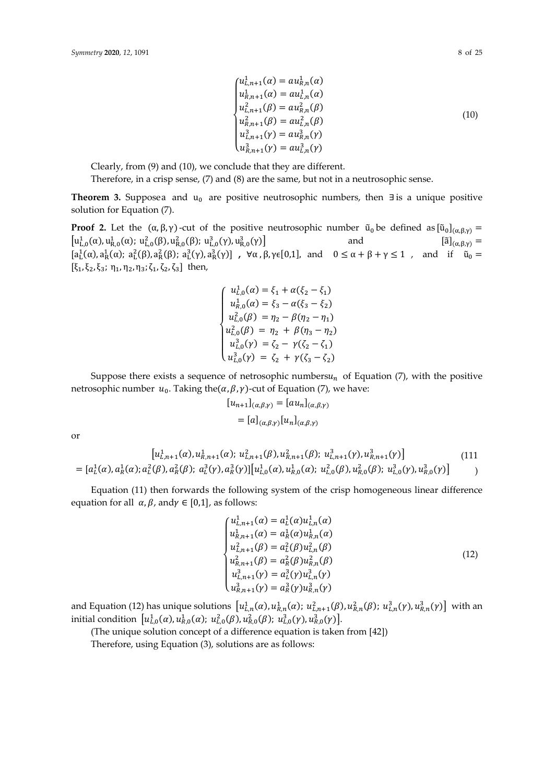$$
\begin{cases}\nu_{L,n+1}^{1}(\alpha) = \alpha u_{R,n}^{1}(\alpha) \\
u_{R,n+1}^{1}(\alpha) = \alpha u_{L,n}^{1}(\alpha) \\
u_{L,n+1}^{2}(\beta) = \alpha u_{R,n}^{2}(\beta) \\
u_{R,n+1}^{2}(\beta) = \alpha u_{L,n}^{2}(\beta) \\
u_{L,n+1}^{3}(\gamma) = \alpha u_{R,n}^{3}(\gamma) \\
u_{R,n+1}^{3}(\gamma) = \alpha u_{L,n}^{3}(\gamma)\n\end{cases}
$$
\n(10)

Clearly, from (9) and (10), we conclude that they are different. Therefore, in a crisp sense, (7) and (8) are the same, but not in a neutrosophic sense.

Theorem 3. Supposea and u<sub>0</sub> are positive neutrosophic numbers, then ∃is a unique positive solution for Equation (7).

**Proof 2.** Let the  $(\alpha, \beta, \gamma)$ -cut of the positive neutrosophic number  $\tilde{u}_0$  be defined as  $[\tilde{u}_0]_{(\alpha, \beta, \gamma)} =$  $[u^1_{L,0}(\alpha), u^1_{R,0}(\alpha); u^2_{L,0}(\beta), u^2_{R,0}(\beta); u^3_{L,0}(\gamma), u^3_{R,0}$ and  $[\tilde{a}]_{(\alpha,\beta,\nu)} =$  $[a_L^1(\alpha), a_R^1(\alpha); a_L^2(\beta), a_R^2(\beta); a_L^3(\gamma), a_R^3(\gamma)]$ ,  $\forall \alpha, \beta, \gamma \in [0,1]$ , and  $0 \leq \alpha + \beta + \gamma \leq 1$ , and if  $\tilde{u}_0 =$  $[\xi_1, \xi_2, \xi_3; \eta_1, \eta_2, \eta_3; \zeta_1, \zeta_2, \zeta_3]$  then,

$$
\begin{cases}\nu_{L,0}^1(\alpha) = \xi_1 + \alpha(\xi_2 - \xi_1) \\
u_{R,0}^1(\alpha) = \xi_3 - \alpha(\xi_3 - \xi_2) \\
u_{L,0}^2(\beta) = \eta_2 - \beta(\eta_2 - \eta_1) \\
u_{L,0}^2(\beta) = \eta_2 + \beta(\eta_3 - \eta_2) \\
u_{L,0}^3(\gamma) = \zeta_2 - \gamma(\zeta_2 - \zeta_1) \\
u_{L,0}^3(\gamma) = \zeta_2 + \gamma(\zeta_3 - \zeta_2)\n\end{cases}
$$

Suppose there exists a sequence of netrosophic numbers $u_n$  of Equation (7), with the positive netrosophic number  $u_0$ . Taking the( $\alpha$ ,  $\beta$ ,  $\gamma$ )-cut of Equation (7), we have:

$$
[u_{n+1}]_{(\alpha,\beta,\gamma)} = [au_n]_{(\alpha,\beta,\gamma)}
$$
  
= 
$$
[a]_{(\alpha,\beta,\gamma)} [u_n]_{(\alpha,\beta,\gamma)}
$$

or

$$
\begin{aligned}\n&\left[u_{L,n+1}^{1}(\alpha), u_{R,n+1}^{1}(\alpha); u_{L,n+1}^{2}(\beta), u_{R,n+1}^{2}(\beta); u_{L,n+1}^{3}(\gamma), u_{R,n+1}^{3}(\gamma)\right] \\
&= [a_{L}^{1}(\alpha), a_{R}^{1}(\alpha); a_{L}^{2}(\beta), a_{R}^{2}(\beta); a_{L}^{3}(\gamma), a_{R}^{3}(\gamma)]\big[u_{L,0}^{1}(\alpha), u_{R,0}^{1}(\alpha); u_{L,0}^{2}(\beta), u_{R,0}^{2}(\beta); u_{L,0}^{3}(\gamma), u_{R,0}^{3}(\gamma)\big]\n\end{aligned}\n\tag{111}
$$

Equation (11) then forwards the following system of the crisp homogeneous linear difference equation for all  $\alpha$ ,  $\beta$ , and  $\gamma \in [0,1]$ , as follows:

$$
\begin{cases}\nu_{L,n+1}^{1}(\alpha) = a_{L}^{1}(\alpha)u_{L,n}^{1}(\alpha) \\
u_{R,n+1}^{1}(\alpha) = a_{R}^{1}(\alpha)u_{R,n}^{1}(\alpha) \\
u_{L,n+1}^{2}(\beta) = a_{L}^{2}(\beta)u_{L,n}^{2}(\beta) \\
u_{R,n+1}^{2}(\beta) = a_{R}^{2}(\beta)u_{R,n}^{2}(\beta) \\
u_{L,n+1}^{3}(\gamma) = a_{L}^{3}(\gamma)u_{L,n}^{3}(\gamma) \\
u_{R,n+1}^{3}(\gamma) = a_{R}^{3}(\gamma)u_{R,n}^{3}(\gamma)\n\end{cases}
$$
\n(12)

and Equation (12) has unique solutions  $\left[u_{L,n}^1(\alpha), u_{R,n}^1(\alpha); u_{L,n+1}^2(\beta), u_{R,n}^2(\beta); u_{L,n}^3(\gamma), u_{R,n}^3(\gamma)\right]$  with an initial condition  $[u_{L,0}^1(\alpha), u_{R,0}^1(\alpha); u_{L,0}^2(\beta), u_{R,0}^2(\beta); u_{L,0}^3(\gamma), u_{R,0}^3(\gamma)].$ 

(The unique solution concept of a difference equation is taken from [42])

Therefore, using Equation (3), solutions are as follows: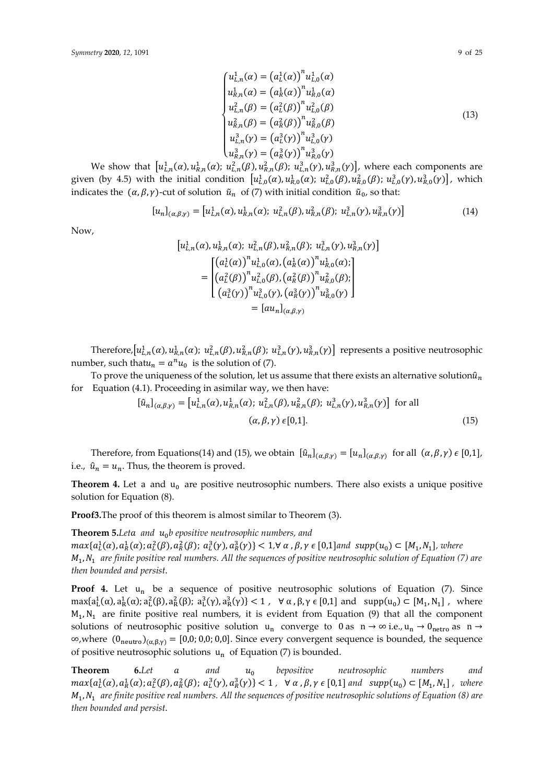$$
\begin{cases}\nu_{L,n}^{1}(\alpha) = (a_L^{1}(\alpha))^{n} u_{L,0}^{1}(\alpha) \\
u_{R,n}^{1}(\alpha) = (a_R^{1}(\alpha))^{n} u_{R,0}^{1}(\alpha) \\
u_{L,n}^{2}(\beta) = (a_L^{2}(\beta))^{n} u_{L,0}^{2}(\beta) \\
u_{R,n}^{2}(\beta) = (a_R^{2}(\beta))^{n} u_{R,0}^{2}(\beta) \\
u_{L,n}^{3}(\gamma) = (a_L^{3}(\gamma))^{n} u_{L,0}^{3}(\gamma) \\
u_{R,n}^{3}(\gamma) = (a_R^{3}(\gamma))^{n} u_{R,0}^{3}(\gamma)\n\end{cases}
$$
\n(13)

We show that  $[u_{L,n}^1(\alpha), u_{R,n}^1(\alpha); u_{L,n}^2(\beta), u_{R,n}^2(\beta); u_{L,n}^3(\gamma), u_{R,n}^3(\gamma)]$ , where each components are given (by 4.5) with the initial condition  $[u_{L,0}^1(\alpha), u_{R,0}^1(\alpha); u_{L,0}^2(\beta), u_{R,0}^2(\beta); u_{L,0}^3(\gamma), u_{R,0}^3(\gamma)]$ , which indicates the  $(\alpha, \beta, \gamma)$ -cut of solution  $\tilde{u}_n$  of (7) with initial condition  $\tilde{u}_0$ , so that:

$$
[u_n]_{(\alpha,\beta,\gamma)} = [u_{L,n}^1(\alpha), u_{R,n}^1(\alpha); u_{L,n}^2(\beta), u_{R,n}^2(\beta); u_{L,n}^3(\gamma), u_{R,n}^3(\gamma)]
$$
\n(14)

Now,

$$
\begin{aligned}\n\left[u_{L,n}^{1}(\alpha), u_{R,n}^{1}(\alpha); u_{L,n}^{2}(\beta), u_{R,n}^{2}(\beta); u_{L,n}^{3}(\gamma), u_{R,n}^{3}(\gamma)\right] \\
= \begin{bmatrix}\n\left(a_{L}^{1}(\alpha)\right)^{n} u_{L,0}^{1}(\alpha), \left(a_{R}^{1}(\alpha)\right)^{n} u_{R,0}^{1}(\alpha); \\
\left(a_{L}^{2}(\beta)\right)^{n} u_{L,0}^{2}(\beta), \left(a_{R}^{2}(\beta)\right)^{n} u_{R,0}^{2}(\beta); \\
\left(a_{L}^{3}(\gamma)\right)^{n} u_{L,0}^{3}(\gamma), \left(a_{R}^{3}(\gamma)\right)^{n} u_{R,0}^{3}(\gamma)\n\end{bmatrix} \\
= \left[\alpha u_{n}\right]_{(\alpha,\beta,\gamma)}\n\end{aligned}
$$

Therefore,  $[u_{L,n}^1(\alpha), u_{R,n}^1(\alpha); u_{L,n}^2(\beta), u_{R,n}^2(\beta); u_{L,n}^3(\gamma), u_{R,n}^3(\gamma)]$  represents a positive neutrosophic number, such that  $u_n = a^n u_0$  is the solution of (7).

To prove the uniqueness of the solution, let us assume that there exists an alternative solution $\hat{u}_n$ for Equation (4.1). Proceeding in asimilar way, we then have:

$$
[\hat{u}_n]_{(\alpha,\beta,\gamma)} = [u_{L,n}^1(\alpha), u_{R,n}^1(\alpha); u_{L,n}^2(\beta), u_{R,n}^2(\beta); u_{L,n}^3(\gamma), u_{R,n}^3(\gamma)] \text{ for all } (\alpha,\beta,\gamma) \in [0,1].
$$
 (15)

Therefore, from Equations(14) and (15), we obtain  $[\hat{u}_n]_{(\alpha,\beta,\gamma)} = [u_n]_{(\alpha,\beta,\gamma)}$  for all  $(\alpha,\beta,\gamma) \in [0,1]$ , i.e.,  $\hat{u}_n = u_n$ . Thus, the theorem is proved.

**Theorem 4.** Let a and  $u_0$  are positive neutrosophic numbers. There also exists a unique positive solution for Equation (8).

**Proof3.**The proof of this theorem is almost similar to Theorem (3).

**Theorem 5.***Let and b epositive neutrosophic numbers, and*   $max{a_L^1(\alpha), a_R^1(\alpha); a_L^2(\beta), a_R^2(\beta); a_L^3(\gamma), a_R^3(\gamma)} < 1, \forall \alpha, \beta, \gamma \in [0,1]$  and  $supp(u_0) \subset [M_1, N_1]$ , where  $M_1$ ,  $N_1$  are finite positive real numbers. All the sequences of positive neutrosophic solution of Equation (7) are *then bounded and persist*.

**Proof 4.** Let u<sub>n</sub> be a sequence of positive neutrosophic solutions of Equation (7). Since  $\max\{a_L^1(\alpha), a_R^1(\alpha); a_L^2(\beta), a_R^2(\beta); a_L^3(\gamma), a_R^3(\gamma)\} < 1$ ,  $\forall \alpha, \beta, \gamma \in [0,1]$  and  $\supp(u_0) \subset [M_1, N_1]$ , where  $M_1$ ,  $N_1$  are finite positive real numbers, it is evident from Equation (9) that all the component solutions of neutrosophic positive solution  $u_n$  converge to 0 as  $n \to \infty$  i.e.,  $u_n \to 0$ <sub>netro</sub> as  $n \to \infty$  $\infty$ ,where  $(0_{\text{neutron}})_{(\alpha,\beta,\gamma)} = [0,0; 0,0; 0,0]$ . Since every convergent sequence is bounded, the sequence of positive neutrosophic solutions  $u_n$  of Equation (7) is bounded.

**Theorem 6.***Let and bepositive neutrosophic numbers and*   $max\{a_L^1(\alpha), a_R^1(\alpha), a_L^2(\beta), a_R^2(\beta); a_L^3(\gamma), a_R^3(\gamma)\} < 1$ ,  $\forall \alpha, \beta, \gamma \in [0,1]$  and  $supp(u_0) \subset [M_1, N_1]$ , where  $M_1$ ,  $N_1$  are finite positive real numbers. All the sequences of positive neutrosophic solutions of Equation (8) are *then bounded and persist*.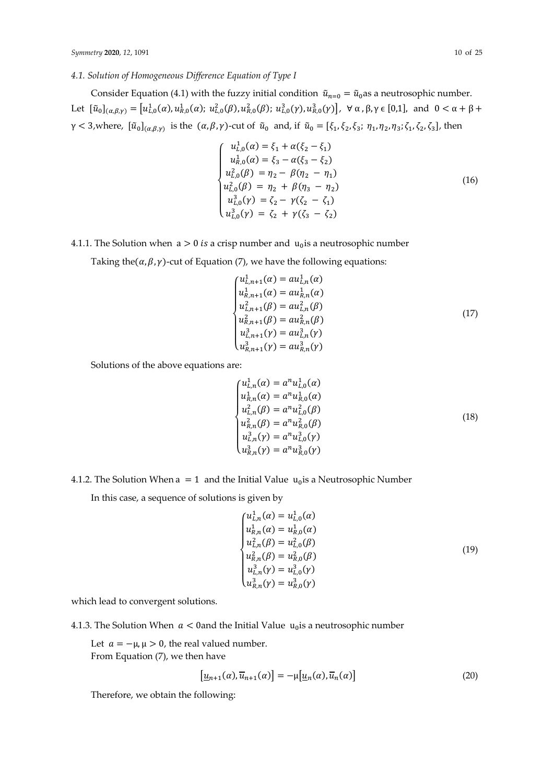## *4.1. Solution of Homogeneous Difference Equation of Type I*

Consider Equation (4.1) with the fuzzy initial condition  $\tilde{u}_{n=0} = \tilde{u}_0$  as a neutrosophic number. Let  $[\tilde{u}_0]_{(\alpha,\beta,\gamma)} = [u_{L,0}^1(\alpha), u_{R,0}^1(\alpha); u_{L,0}^2(\beta), u_{R,0}^2(\beta); u_{L,0}^3(\gamma), u_{R,0}^3(\gamma)]$ ,  $\forall \alpha, \beta, \gamma \in [0,1]$ , and  $0 < \alpha + \beta + \gamma$  $\gamma < 3$ , where,  $[\tilde{u}_0]_{(\alpha,\beta,\gamma)}$  is the  $(\alpha,\beta,\gamma)$ -cut of  $\tilde{u}_0$  and, if  $\tilde{u}_0 = [\xi_1, \xi_2, \xi_3; \eta_1, \eta_2, \eta_3; \zeta_1, \zeta_2, \zeta_3]$ , then

$$
\begin{cases}\nu_{L,0}^{1}(\alpha) = \xi_1 + \alpha(\xi_2 - \xi_1) \\
u_{R,0}^{1}(\alpha) = \xi_3 - \alpha(\xi_3 - \xi_2) \\
u_{L,0}^{2}(\beta) = \eta_2 - \beta(\eta_2 - \eta_1) \\
u_{L,0}^{2}(\beta) = \eta_2 + \beta(\eta_3 - \eta_2) \\
u_{L,0}^{3}(\gamma) = \zeta_2 - \gamma(\zeta_2 - \zeta_1) \\
u_{L,0}^{3}(\gamma) = \zeta_2 + \gamma(\zeta_3 - \zeta_2)\n\end{cases}
$$
\n(16)

## 4.1.1. The Solution when  $a > 0$  is a crisp number and  $u_0$  is a neutrosophic number

Taking the( $\alpha$ ,  $\beta$ ,  $\gamma$ )-cut of Equation (7), we have the following equations:

$$
\begin{cases}\nu_{L,n+1}^{1}(\alpha) = a\nu_{L,n}^{1}(\alpha) \\
u_{R,n+1}^{1}(\alpha) = a\nu_{R,n}^{1}(\alpha) \\
u_{L,n+1}^{2}(\beta) = a\nu_{L,n}^{2}(\beta) \\
u_{R,n+1}^{2}(\beta) = a\nu_{R,n}^{2}(\beta) \\
u_{L,n+1}^{3}(\gamma) = a\nu_{L,n}^{3}(\gamma)\n\end{cases} (17)
$$

Solutions of the above equations are:

$$
\begin{cases}\nu_{L,n}^1(\alpha) = a^n u_{L,0}^1(\alpha) \\
u_{R,n}^1(\alpha) = a^n u_{R,0}^1(\alpha) \\
u_{L,n}^2(\beta) = a^n u_{L,0}^2(\beta) \\
u_{R,n}^2(\beta) = a^n u_{R,0}^2(\beta) \\
u_{L,n}^3(\gamma) = a^n u_{L,0}^3(\gamma) \\
u_{R,n}^3(\gamma) = a^n u_{R,0}^3(\gamma)\n\end{cases}
$$
\n(18)

4.1.2. The Solution When  $a = 1$  and the Initial Value  $u_0$  is a Neutrosophic Number

In this case, a sequence of solutions is given by

$$
\begin{cases}\nu_{L,n}^{1}(\alpha) = u_{L,0}^{1}(\alpha) \\
u_{R,n}^{1}(\alpha) = u_{R,0}^{1}(\alpha) \\
u_{L,n}^{2}(\beta) = u_{L,0}^{2}(\beta) \\
u_{R,n}^{2}(\beta) = u_{R,0}^{2}(\beta) \\
u_{L,n}^{3}(\gamma) = u_{L,0}^{3}(\gamma)\n\end{cases}
$$
\n(19)

which lead to convergent solutions.

4.1.3. The Solution When  $a < 0$  and the Initial Value  $u_0$  is a neutrosophic number

Let  $a = -\mu$ ,  $\mu > 0$ , the real valued number. From Equation (7), we then have

$$
\left[\underline{u}_{n+1}(\alpha), \overline{u}_{n+1}(\alpha)\right] = -\mu[\underline{u}_n(\alpha), \overline{u}_n(\alpha)]\tag{20}
$$

Therefore, we obtain the following: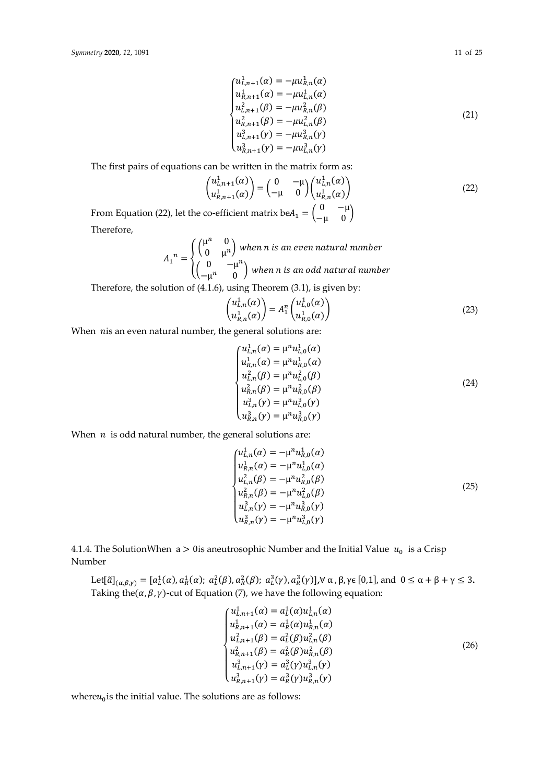$$
\begin{cases}\nu_{L,n+1}^{1}(\alpha) = -\mu u_{R,n}^{1}(\alpha) \\
u_{R,n+1}^{1}(\alpha) = -\mu u_{L,n}^{1}(\alpha) \\
u_{L,n+1}^{2}(\beta) = -\mu u_{R,n}^{2}(\beta) \\
u_{R,n+1}^{2}(\beta) = -\mu u_{L,n}^{2}(\beta) \\
u_{L,n+1}^{3}(\gamma) = -\mu u_{R,n}^{3}(\gamma)\n\end{cases}
$$
\n(21)

The first pairs of equations can be written in the matrix form as:

$$
\begin{pmatrix} u_{L,n+1}^1(\alpha) \\ u_{R,n+1}^1(\alpha) \end{pmatrix} = \begin{pmatrix} 0 & -\mu \\ -\mu & 0 \end{pmatrix} \begin{pmatrix} u_{L,n}^1(\alpha) \\ u_{R,n}^1(\alpha) \end{pmatrix}
$$
\n
$$
\text{co-efficient matrix } \text{beA}_n = \begin{pmatrix} 0 & -\mu \\ -\mu \end{pmatrix}
$$
\n(22)

From Equation (22), let the co-efficient matrix be $A_1 = \begin{pmatrix} 0 & -\mu \\ -\mu & 0 \end{pmatrix}$ Therefore,  $\ldots$ <sup>n</sup> 0

$$
A_1^{n} = \begin{cases} \begin{pmatrix} \mu^n & 0 \\ 0 & \mu^n \end{pmatrix} when \text{ n is an even natural number} \\ \begin{pmatrix} 0 & -\mu^n \\ -\mu^n & 0 \end{pmatrix} when \text{ n is an odd natural number} \end{cases}
$$

Therefore, the solution of (4.1.6), using Theorem (3.1), is given by:

$$
\begin{pmatrix} u_{L,n}^1(\alpha) \\ u_{R,n}^1(\alpha) \end{pmatrix} = A_1^n \begin{pmatrix} u_{L,0}^1(\alpha) \\ u_{R,0}^1(\alpha) \end{pmatrix}
$$
 (23)

When  $nis$  an even natural number, the general solutions are:

$$
\begin{cases}\nu_{L,n}^{1}(\alpha) = \mu^{n} u_{L,0}^{1}(\alpha) \\
u_{R,n}^{1}(\alpha) = \mu^{n} u_{R,0}^{1}(\alpha) \\
u_{L,n}^{2}(\beta) = \mu^{n} u_{L,0}^{2}(\beta) \\
u_{R,n}^{2}(\beta) = \mu^{n} u_{R,0}^{2}(\beta) \\
u_{L,n}^{3}(\gamma) = \mu^{n} u_{L,0}^{3}(\gamma) \\
u_{R,n}^{3}(\gamma) = \mu^{n} u_{R,0}^{3}(\gamma)\n\end{cases}
$$
\n(24)

When  $n$  is odd natural number, the general solutions are:

$$
\begin{cases}\nu_{L,n}^1(\alpha) = -\mu^n u_{R,0}^1(\alpha) \\
u_{R,n}^1(\alpha) = -\mu^n u_{L,0}^1(\alpha) \\
u_{L,n}^2(\beta) = -\mu^n u_{R,0}^2(\beta) \\
u_{R,n}^2(\beta) = -\mu^n u_{L,0}^2(\beta) \\
u_{L,n}^3(\gamma) = -\mu^n u_{R,0}^3(\gamma) \\
u_{R,n}^3(\gamma) = -\mu^n u_{L,0}^3(\gamma)\n\end{cases}
$$
\n(25)

4.1.4. The SolutionWhen  $a > 0$ is aneutrosophic Number and the Initial Value  $u_0$  is a Crisp Number

Let[
$$
\tilde{a}
$$
]<sub>( $\alpha,\beta,\gamma$ ) = [ $a_L^1(\alpha), a_R^1(\alpha)$ ;  $a_L^2(\beta), a_R^2(\beta)$ ;  $a_L^3(\gamma), a_R^3(\gamma)$ ],  $\forall \alpha, \beta, \gamma \in [0,1]$ , and  $0 \le \alpha + \beta + \gamma \le 3$ .  
Taking the( $\alpha, \beta, \gamma$ )-cut of Equation (7), we have the following equation:</sub>

$$
\begin{cases}\nu_{L,n+1}^{1}(\alpha) = a_{L}^{1}(\alpha)u_{L,n}^{1}(\alpha) \\
u_{R,n+1}^{1}(\alpha) = a_{R}^{1}(\alpha)u_{R,n}^{1}(\alpha) \\
u_{L,n+1}^{2}(\beta) = a_{L}^{2}(\beta)u_{L,n}^{2}(\beta) \\
u_{R,n+1}^{2}(\beta) = a_{R}^{2}(\beta)u_{R,n}^{2}(\beta) \\
u_{L,n+1}^{3}(\gamma) = a_{L}^{3}(\gamma)u_{L,n}^{3}(\gamma) \\
u_{R,n+1}^{3}(\gamma) = a_{R}^{3}(\gamma)u_{R,n}^{3}(\gamma)\n\end{cases}
$$
\n(26)

where $u_0$  is the initial value. The solutions are as follows: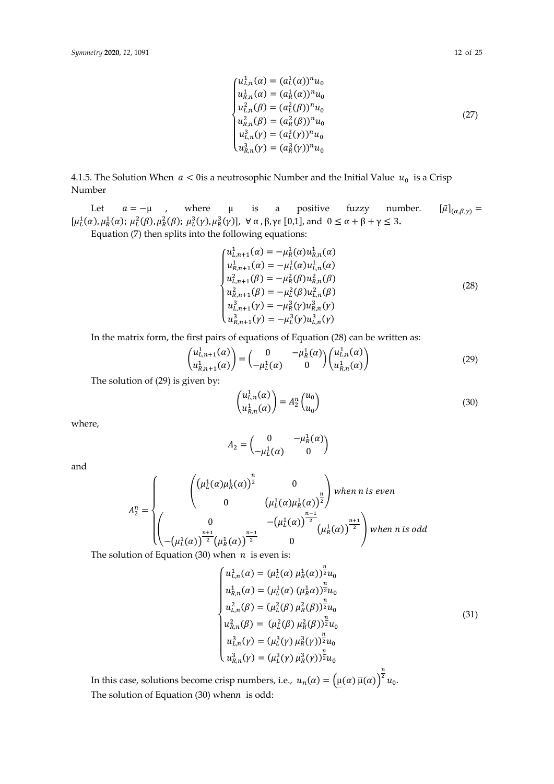$$
\begin{cases}\nu_{L,n}^{1}(\alpha) = (a_L^{1}(\alpha))^{n} u_0 \\
u_{R,n}^{1}(\alpha) = (a_R^{1}(\alpha))^{n} u_0 \\
u_{L,n}^{2}(\beta) = (a_L^{2}(\beta))^{n} u_0 \\
u_{R,n}^{2}(\beta) = (a_R^{2}(\beta))^{n} u_0 \\
u_{L,n}^{3}(\gamma) = (a_L^{3}(\gamma))^{n} u_0 \\
u_{R,n}^{3}(\gamma) = (a_R^{3}(\gamma))^{n} u_0\n\end{cases}
$$
\n(27)

4.1.5. The Solution When  $a < 0$  is a neutrosophic Number and the Initial Value  $u_0$  is a Crisp Number

Let  $a = -\mu$ , where  $\mu$  is a positive fuzzy number.  $[\tilde{\mu}]_{(\alpha,\beta,\gamma)} =$  $[\mu^1_L(\alpha), \mu^1_R(\alpha); \mu^2_L(\beta), \mu^2_R(\beta); \mu^3_L(\gamma), \mu^3_R(\gamma)]$ ,  $\forall \alpha, \beta, \gamma \in [0,1]$ , and  $0 \leq \alpha + \beta + \gamma \leq 3$ .

Equation (7) then splits into the following equations:

$$
\begin{cases}\nu_{L,n+1}^{1}(\alpha) = -\mu_{R}^{1}(\alpha)\nu_{R,n}^{1}(\alpha) \\
u_{R,n+1}^{1}(\alpha) = -\mu_{L}^{1}(\alpha)\nu_{L,n}^{1}(\alpha) \\
u_{L,n+1}^{2}(\beta) = -\mu_{R}^{2}(\beta)\nu_{R,n}^{2}(\beta) \\
u_{R,n+1}^{2}(\beta) = -\mu_{L}^{2}(\beta)\nu_{L,n}^{2}(\beta) \\
u_{L,n+1}^{3}(\gamma) = -\mu_{R}^{3}(\gamma)\nu_{R,n}^{3}(\gamma) \\
u_{R,n+1}^{3}(\gamma) = -\mu_{L}^{3}(\gamma)\nu_{L,n}^{3}(\gamma)\n\end{cases}
$$
\n(28)

In the matrix form, the first pairs of equations of Equation (28) can be written as:

$$
\begin{pmatrix} u_{L,n+1}^1(\alpha) \\ u_{R,n+1}^1(\alpha) \end{pmatrix} = \begin{pmatrix} 0 & -\mu_R^1(\alpha) \\ -\mu_L^1(\alpha) & 0 \end{pmatrix} \begin{pmatrix} u_{L,n}^1(\alpha) \\ u_{R,n}^1(\alpha) \end{pmatrix}
$$
(29)

The solution of (29) is given by:

$$
\begin{pmatrix} u_{L,n}^1(\alpha) \\ u_{R,n}^1(\alpha) \end{pmatrix} = A_2^n \begin{pmatrix} u_0 \\ u_0 \end{pmatrix}
$$
\n(30)

where,

$$
A_2 = \begin{pmatrix} 0 & -\mu_R^1(\alpha) \\ -\mu_L^1(\alpha) & 0 \end{pmatrix}
$$

and

$$
A_2^n = \begin{cases} \begin{pmatrix} \left(\mu_L^1(\alpha)\mu_R^1(\alpha)\right)^{\frac{n}{2}} & 0\\ 0 & \left(\mu_L^1(\alpha)\mu_R^1(\alpha)\right)^{\frac{n}{2}} \end{pmatrix} \text{ when } n \text{ is even} \\ \begin{pmatrix} 0 & -\left(\mu_L^1(\alpha)\right)^{\frac{n-1}{2}} \\ -\left(\mu_L^1(\alpha)\right)^{\frac{n+1}{2}} \left(\mu_R^1(\alpha)\right)^{\frac{n-1}{2}} & 0 \end{pmatrix} \text{ when } n \text{ is odd} \end{cases}
$$

The solution of Equation (30) when  $n$  is even is:

$$
\begin{cases}\nu_{L,n}^{1}(\alpha) = (\mu_{L}^{1}(\alpha) \mu_{R}^{1}(\alpha))_{z}^{\frac{n}{2}}u_{0} \\
u_{R,n}^{1}(\alpha) = (\mu_{L}^{1}(\alpha) (\mu_{R}^{1}\alpha))_{z}^{\frac{n}{2}}u_{0} \\
u_{L,n}^{2}(\beta) = (\mu_{L}^{2}(\beta) \mu_{R}^{2}(\beta))_{z}^{\frac{n}{2}}u_{0} \\
u_{R,n}^{2}(\beta) = (\mu_{L}^{2}(\beta) \mu_{R}^{2}(\beta))_{z}^{\frac{n}{2}}u_{0} \\
u_{L,n}^{3}(\gamma) = (\mu_{L}^{3}(\gamma) \mu_{R}^{3}(\gamma))_{z}^{\frac{n}{2}}u_{0} \\
u_{R,n}^{3}(\gamma) = (\mu_{L}^{3}(\gamma) \mu_{R}^{3}(\gamma))_{z}^{\frac{n}{2}}u_{0}\n\end{cases}
$$
\n(31)

In this case, solutions become crisp numbers, i.e.,  $u_n(\alpha) = (\mu(\alpha)\overline{\mu}(\alpha))$  $rac{n}{2}$ u<sub>0</sub>. The solution of Equation (30) when $n$  is odd: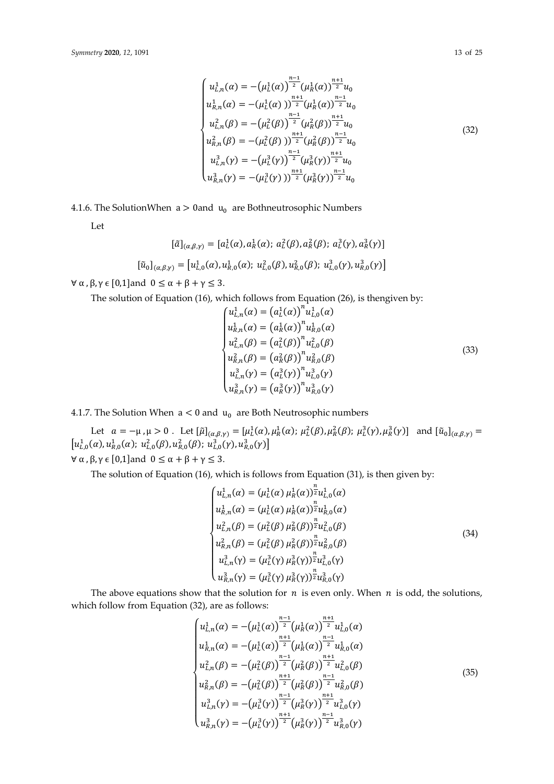$$
\begin{cases}\nu_{L,n}^{1}(\alpha) = -(\mu_{L}^{1}(\alpha))^{\frac{n-1}{2}}(\mu_{R}^{1}(\alpha))^{\frac{n+1}{2}}u_{0} \\
u_{R,n}^{1}(\alpha) = -(\mu_{L}^{1}(\alpha))^{\frac{n+1}{2}}(\mu_{R}^{1}(\alpha))^{\frac{n-1}{2}}u_{0} \\
u_{L,n}^{2}(\beta) = -(\mu_{L}^{2}(\beta))^{\frac{n-1}{2}}(\mu_{R}^{2}(\beta))^{\frac{n+1}{2}}u_{0} \\
u_{R,n}^{2}(\beta) = -(\mu_{L}^{2}(\beta))^{\frac{n+1}{2}}(\mu_{R}^{2}(\beta))^{\frac{n-1}{2}}u_{0} \\
u_{L,n}^{3}(\gamma) = -(\mu_{L}^{3}(\gamma))^{\frac{n-1}{2}}(\mu_{R}^{3}(\gamma))^{\frac{n+1}{2}}u_{0} \\
u_{R,n}^{3}(\gamma) = -(\mu_{L}^{3}(\gamma))^{\frac{n+1}{2}}(\mu_{R}^{3}(\gamma))^{\frac{n-1}{2}}u_{0}\n\end{cases}
$$
\n(32)

4.1.6. The SolutionWhen  $a > 0$  and  $u_0$  are Bothneutrosophic Numbers

Let

$$
[\tilde{a}]_{(\alpha,\beta,\gamma)} = [a_L^1(\alpha), a_R^1(\alpha); a_L^2(\beta), a_R^2(\beta); a_L^3(\gamma), a_R^3(\gamma)]
$$
  

$$
[\tilde{u}_0]_{(\alpha,\beta,\gamma)} = [u_{L,0}^1(\alpha), u_{R,0}^1(\alpha); u_{L,0}^2(\beta), u_{R,0}^2(\beta); u_{L,0}^3(\gamma), u_{R,0}^3(\gamma)]
$$

 $\forall \alpha$ ,  $\beta$ ,  $\gamma \in [0,1]$ and  $0 \leq \alpha + \beta + \gamma \leq 3$ .

The solution of Equation (16), which follows from Equation (26), is thengiven by:<br> $(16.8)^n (16.8)^n (16.8)^n$ 

$$
\begin{cases}\nu_{L,n}^{1}(\alpha) = (a_L^{1}(\alpha))^{n} u_{L,0}^{1}(\alpha) \\
u_{R,n}^{1}(\alpha) = (a_R^{1}(\alpha))^{n} u_{R,0}^{1}(\alpha) \\
u_{L,n}^{2}(\beta) = (a_L^{2}(\beta))^{n} u_{L,0}^{2}(\beta) \\
u_{R,n}^{2}(\beta) = (a_R^{2}(\beta))^{n} u_{R,0}^{2}(\beta) \\
u_{L,n}^{3}(\gamma) = (a_L^{3}(\gamma))^{n} u_{L,0}^{3}(\gamma) \\
u_{R,n}^{3}(\gamma) = (a_R^{3}(\gamma))^{n} u_{R,0}^{3}(\gamma)\n\end{cases}
$$
\n(33)

4.1.7. The Solution When  $a < 0$  and  $u_0$  are Both Neutrosophic numbers

Let  $\alpha = -\mu$ ,  $\mu > 0$ . Let  $[\tilde{\mu}]_{(\alpha,\beta,\gamma)} = [\mu_L^1(\alpha), \mu_R^1(\alpha); \mu_L^2(\beta), \mu_R^2(\beta); \mu_L^3(\gamma), \mu_R^3(\gamma)]$  and  $[\tilde{u}_0]_{(\alpha,\beta,\gamma)} =$  $\left[u_{L,0}^{1}(\alpha), u_{R,0}^{1}(\alpha);\ u_{L,0}^{2}(\beta), u_{R,0}^{2}(\beta);\ u_{L,0}^{3}(\gamma), u_{R,0}^{3}(\gamma)\right]$  $\forall \alpha, \beta, \gamma \in [0,1]$ and  $0 \leq \alpha + \beta + \gamma \leq 3$ .

The solution of Equation (16), which is follows from Equation (31), is then given by:

$$
\begin{cases}\nu_{L,n}^{1}(\alpha) = (\mu_{L}^{1}(\alpha) \mu_{R}^{1}(\alpha))\bar{z}u_{L,0}^{1}(\alpha) \\
u_{R,n}^{1}(\alpha) = (\mu_{L}^{1}(\alpha) \mu_{R}^{1}(\alpha))\bar{z}u_{R,0}^{1}(\alpha) \\
u_{L,n}^{2}(\beta) = (\mu_{L}^{2}(\beta) \mu_{R}^{2}(\beta))\bar{z}u_{L,0}^{2}(\beta) \\
u_{R,n}^{2}(\beta) = (\mu_{L}^{2}(\beta) \mu_{R}^{2}(\beta))\bar{z}u_{R,0}^{2}(\beta) \\
u_{L,n}^{3}(\gamma) = (\mu_{L}^{3}(\gamma) \mu_{R}^{3}(\gamma))\bar{z}u_{L,0}^{3}(\gamma) \\
u_{R,n}^{3}(\gamma) = (\mu_{L}^{3}(\gamma) \mu_{R}^{3}(\gamma))\bar{z}u_{R,0}^{3}(\gamma)\n\end{cases}
$$
\n(34)

The above equations show that the solution for  $n$  is even only. When  $n$  is odd, the solutions, which follow from Equation (32), are as follows:

$$
\begin{cases}\nu_{L,n}^{1}(\alpha) = -(\mu_{L}^{1}(\alpha))^{\frac{n-1}{2}}(\mu_{R}^{1}(\alpha))^{\frac{n+1}{2}}u_{L,0}^{1}(\alpha) \\
u_{R,n}^{1}(\alpha) = -(\mu_{L}^{1}(\alpha))^{\frac{n+1}{2}}(\mu_{R}^{1}(\alpha))^{\frac{n-1}{2}}u_{R,0}^{1}(\alpha) \\
u_{L,n}^{2}(\beta) = -(\mu_{L}^{2}(\beta))^{\frac{n-1}{2}}(\mu_{R}^{2}(\beta))^{\frac{n+1}{2}}u_{L,0}^{2}(\beta) \\
u_{R,n}^{2}(\beta) = -(\mu_{L}^{2}(\beta))^{\frac{n+1}{2}}(\mu_{R}^{2}(\beta))^{\frac{n-1}{2}}u_{R,0}^{2}(\beta) \\
u_{L,n}^{3}(\gamma) = -(\mu_{L}^{3}(\gamma))^{\frac{n-1}{2}}(\mu_{R}^{3}(\gamma))^{\frac{n+1}{2}}u_{L,0}^{3}(\gamma) \\
u_{R,n}^{3}(\gamma) = -(\mu_{L}^{3}(\gamma))^{\frac{n+1}{2}}(\mu_{R}^{3}(\gamma))^{\frac{n-1}{2}}u_{R,0}^{3}(\gamma)\n\end{cases} (35)
$$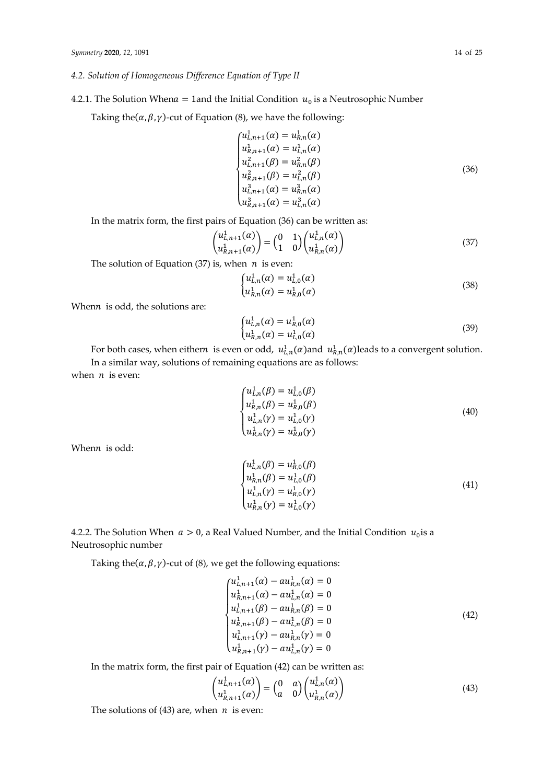## *4.2. Solution of Homogeneous Difference Equation of Type II*

## 4.2.1. The Solution When  $a = 1$  and the Initial Condition  $u_0$  is a Neutrosophic Number

Taking the( $\alpha$ ,  $\beta$ ,  $\gamma$ )-cut of Equation (8), we have the following:

$$
\begin{cases}\nu_{L,n+1}^{1}(\alpha) = u_{R,n}^{1}(\alpha) \\
u_{R,n+1}^{1}(\alpha) = u_{L,n}^{1}(\alpha) \\
u_{L,n+1}^{2}(\beta) = u_{R,n}^{2}(\beta) \\
u_{R,n+1}^{2}(\beta) = u_{L,n}^{2}(\beta) \\
u_{L,n+1}^{3}(\alpha) = u_{R,n}^{3}(\alpha) \\
u_{R,n+1}^{3}(\alpha) = u_{L,n}^{3}(\alpha)\n\end{cases}
$$
\n(36)

In the matrix form, the first pairs of Equation (36) can be written as:

$$
\begin{pmatrix} u_{L,n+1}^1(\alpha) \\ u_{R,n+1}^1(\alpha) \end{pmatrix} = \begin{pmatrix} 0 & 1 \\ 1 & 0 \end{pmatrix} \begin{pmatrix} u_{L,n}^1(\alpha) \\ u_{R,n}^1(\alpha) \end{pmatrix}
$$
 (37)

The solution of Equation (37) is, when  $n$  is even:

$$
\begin{cases} u_{L,n}^1(\alpha) = u_{L,0}^1(\alpha) \\ u_{R,n}^1(\alpha) = u_{R,0}^1(\alpha) \end{cases}
$$
 (38)

When $n$  is odd, the solutions are:

$$
\begin{cases} u_{L,n}^1(\alpha) = u_{R,0}^1(\alpha) \\ u_{R,n}^1(\alpha) = u_{L,0}^1(\alpha) \end{cases} \tag{39}
$$

For both cases, when eithern is even or odd,  $u_{L,n}^1(\alpha)$ and  $u_{R,n}^1(\alpha)$ leads to a convergent solution. In a similar way, solutions of remaining equations are as follows:

when  $n$  is even:

$$
\begin{cases}\n u_{L,n}^1(\beta) = u_{L,0}^1(\beta) \\
 u_{R,n}^1(\beta) = u_{R,0}^1(\beta) \\
 u_{L,n}^1(\gamma) = u_{L,0}^1(\gamma) \\
 u_{R,n}^1(\gamma) = u_{R,0}^1(\gamma)\n\end{cases}
$$
\n(40)

Whenn is odd:

$$
\begin{cases}\n u_{L,n}^1(\beta) = u_{R,0}^1(\beta) \\
 u_{R,n}^1(\beta) = u_{L,0}^1(\beta) \\
 u_{L,n}^1(\gamma) = u_{R,0}^1(\gamma) \\
 u_{R,n}^1(\gamma) = u_{L,0}^1(\gamma)\n\end{cases} (41)
$$

# 4.2.2. The Solution When  $a > 0$ , a Real Valued Number, and the Initial Condition  $u_0$  is a Neutrosophic number

Taking the( $\alpha$ ,  $\beta$ ,  $\gamma$ )-cut of (8), we get the following equations:

$$
\begin{cases}\nu_{L,n+1}^{1}(\alpha) - au_{R,n}^{1}(\alpha) = 0 \\
u_{R,n+1}^{1}(\alpha) - au_{L,n}^{1}(\alpha) = 0 \\
u_{L,n+1}^{1}(\beta) - au_{R,n}^{1}(\beta) = 0 \\
u_{R,n+1}^{1}(\beta) - au_{L,n}^{1}(\beta) = 0 \\
u_{L,n+1}^{1}(\gamma) - au_{R,n}^{1}(\gamma) = 0 \\
u_{R,n+1}^{1}(\gamma) - au_{L,n}^{1}(\gamma) = 0\n\end{cases}
$$
\n(42)

In the matrix form, the first pair of Equation (42) can be written as:

$$
\begin{pmatrix} u_{L,n+1}^1(\alpha) \\ u_{R,n+1}^1(\alpha) \end{pmatrix} = \begin{pmatrix} 0 & a \\ a & 0 \end{pmatrix} \begin{pmatrix} u_{L,n}^1(\alpha) \\ u_{R,n}^1(\alpha) \end{pmatrix}
$$
 (43)

The solutions of (43) are, when  $n$  is even: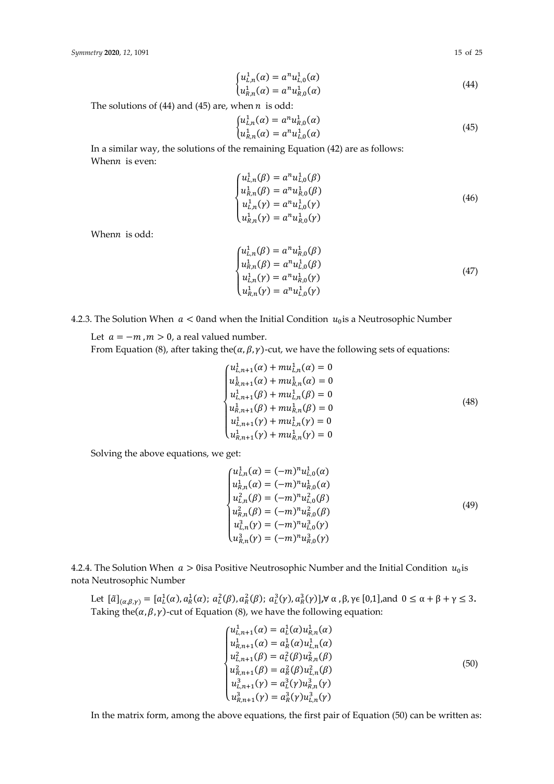$$
\begin{cases} u_{L,n}^1(\alpha) = a^n u_{L,0}^1(\alpha) \\ u_{R,n}^1(\alpha) = a^n u_{R,0}^1(\alpha) \end{cases} \tag{44}
$$

The solutions of (44) and (45) are, when  $n$  is odd:

$$
\begin{cases} u_{L,n}^1(\alpha) = a^n u_{R,0}^1(\alpha) \\ u_{R,n}^1(\alpha) = a^n u_{L,0}^1(\alpha) \end{cases} \tag{45}
$$

In a similar way, the solutions of the remaining Equation (42) are as follows: Whenn is even:

$$
\begin{cases}\nu_{L,n}^{1}(\beta) = a^{n}u_{L,0}^{1}(\beta) \\
u_{R,n}^{1}(\beta) = a^{n}u_{R,0}^{1}(\beta) \\
u_{L,n}^{1}(\gamma) = a^{n}u_{L,0}^{1}(\gamma) \\
u_{R,n}^{1}(\gamma) = a^{n}u_{R,0}^{1}(\gamma)\n\end{cases}
$$
\n(46)

Whenn is odd:

$$
\begin{cases}\nu_{L,n}^{1}(\beta) = a^{n}u_{R,0}^{1}(\beta) \\
u_{R,n}^{1}(\beta) = a^{n}u_{L,0}^{1}(\beta) \\
u_{L,n}^{1}(\gamma) = a^{n}u_{R,0}^{1}(\gamma) \\
u_{R,n}^{1}(\gamma) = a^{n}u_{L,0}^{1}(\gamma)\n\end{cases}
$$
\n(47)

4.2.3. The Solution When  $a < 0$  and when the Initial Condition  $u_0$  is a Neutrosophic Number

Let  $a = -m$ ,  $m > 0$ , a real valued number.

From Equation (8), after taking the  $(\alpha, \beta, \gamma)$ -cut, we have the following sets of equations:

$$
\begin{cases}\nu_{L,n+1}^{1}(\alpha) + mu_{L,n}^{1}(\alpha) = 0 \\
u_{R,n+1}^{1}(\alpha) + mu_{R,n}^{1}(\alpha) = 0 \\
u_{L,n+1}^{1}(\beta) + mu_{L,n}^{1}(\beta) = 0 \\
u_{R,n+1}^{1}(\beta) + mu_{R,n}^{1}(\beta) = 0 \\
u_{L,n+1}^{1}(\gamma) + mu_{L,n}^{1}(\gamma) = 0 \\
u_{R,n+1}^{1}(\gamma) + mu_{R,n}^{1}(\gamma) = 0\n\end{cases}
$$
\n(48)

Solving the above equations, we get:

$$
\begin{cases}\nu_{L,n}^1(\alpha) = (-m)^n u_{L,0}^1(\alpha) \\
u_{R,n}^1(\alpha) = (-m)^n u_{R,0}^2(\alpha) \\
u_{L,n}^2(\beta) = (-m)^n u_{L,0}^2(\beta) \\
u_{R,n}^2(\beta) = (-m)^n u_{R,0}^2(\beta) \\
u_{L,n}^3(\gamma) = (-m)^n u_{L,0}^3(\gamma) \\
u_{R,n}^3(\gamma) = (-m)^n u_{R,0}^3(\gamma)\n\end{cases} (49)
$$

4.2.4. The Solution When  $a > 0$ isa Positive Neutrosophic Number and the Initial Condition  $u_0$ is nota Neutrosophic Number

Let  $[\tilde{a}]_{(\alpha,\beta,\gamma)} = [a_L^1(\alpha), a_R^1(\alpha); a_L^2(\beta), a_R^2(\beta); a_L^3(\gamma), a_R^3(\gamma)]$ , $\forall \alpha, \beta, \gamma \in [0,1]$ , and  $0 \leq \alpha + \beta + \gamma \leq 3$ . Taking the( $\alpha$ ,  $\beta$ ,  $\gamma$ )-cut of Equation (8), we have the following equation:

$$
\begin{cases}\nu_{L,n+1}^{1}(\alpha) = a_{L}^{1}(\alpha)u_{R,n}^{1}(\alpha) \\
u_{R,n+1}^{1}(\alpha) = a_{R}^{1}(\alpha)u_{L,n}^{1}(\alpha) \\
u_{L,n+1}^{2}(\beta) = a_{L}^{2}(\beta)u_{R,n}^{2}(\beta) \\
u_{R,n+1}^{2}(\beta) = a_{R}^{2}(\beta)u_{L,n}^{2}(\beta) \\
u_{L,n+1}^{3}(\gamma) = a_{L}^{3}(\gamma)u_{R,n}^{3}(\gamma) \\
u_{R,n+1}^{3}(\gamma) = a_{R}^{3}(\gamma)u_{L,n}^{3}(\gamma)\n\end{cases}
$$
\n(50)

In the matrix form, among the above equations, the first pair of Equation (50) can be written as: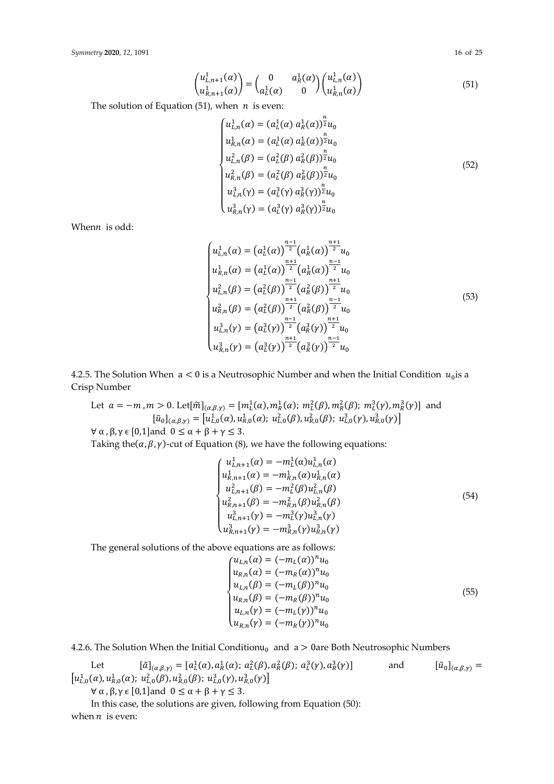$$
\begin{pmatrix} u_{L,n+1}^1(\alpha) \\ u_{R,n+1}^1(\alpha) \end{pmatrix} = \begin{pmatrix} 0 & a_R^1(\alpha) \\ a_L^1(\alpha) & 0 \end{pmatrix} \begin{pmatrix} u_{L,n}^1(\alpha) \\ u_{R,n}^1(\alpha) \end{pmatrix}
$$
(51)

The solution of Equation (51), when  $n$  is even:

$$
\begin{cases}\nu_{L,n}^{1}(\alpha) = (a_{L}^{1}(\alpha) a_{R}^{1}(\alpha))_{2}^{\frac{n}{2}}u_{0} \\
u_{R,n}^{1}(\alpha) = (a_{L}^{1}(\alpha) a_{R}^{1}(\alpha))_{2}^{\frac{n}{2}}u_{0} \\
u_{L,n}^{2}(\beta) = (a_{L}^{2}(\beta) a_{R}^{2}(\beta))_{2}^{\frac{n}{2}}u_{0} \\
u_{R,n}^{2}(\beta) = (a_{L}^{2}(\beta) a_{R}^{2}(\beta))_{2}^{\frac{n}{2}}u_{0} \\
u_{L,n}^{3}(\gamma) = (a_{L}^{3}(\gamma) a_{R}^{3}(\gamma))_{2}^{\frac{n}{2}}u_{0} \\
u_{R,n}^{3}(\gamma) = (a_{L}^{3}(\gamma) a_{R}^{3}(\gamma))_{2}^{\frac{n}{2}}u_{0}\n\end{cases}
$$
\n(52)

When $n$  is odd:

$$
\begin{cases}\nu_{L,n}^{1}(\alpha) = (a_L^{1}(\alpha))^{\frac{n-1}{2}} (a_R^{1}(\alpha))^{\frac{n+1}{2}} u_0 \\
u_{R,n}^{1}(\alpha) = (a_L^{1}(\alpha))^{\frac{n+1}{2}} (a_R^{1}(\alpha))^{\frac{n-1}{2}} u_0 \\
u_{L,n}^{2}(\beta) = (a_L^{2}(\beta))^{\frac{n-1}{2}} (a_R^{2}(\beta))^{\frac{n+1}{2}} u_0 \\
u_{R,n}^{2}(\beta) = (a_L^{2}(\beta))^{\frac{n+1}{2}} (a_R^{2}(\beta))^{\frac{n-1}{2}} u_0 \\
u_{L,n}^{3}(\gamma) = (a_L^{3}(\gamma))^{\frac{n-1}{2}} (a_R^{3}(\gamma))^{\frac{n+1}{2}} u_0 \\
u_{R,n}^{3}(\gamma) = (a_L^{3}(\gamma))^{\frac{n+1}{2}} (a_R^{3}(\gamma))^{\frac{n-1}{2}} u_0\n\end{cases}
$$
\n(53)

4.2.5. The Solution When  $a < 0$  is a Neutrosophic Number and when the Initial Condition  $u_0$  is a Crisp Number

Let  $a = -m$ ,  $m > 0$ . Let $[\tilde{m}]_{(\alpha,\beta,\gamma)} = [m_L^1(\alpha), m_R^1(\alpha); m_L^2(\beta), m_R^2(\beta); m_L^3(\gamma), m_R^3(\gamma)]$  and  $[\tilde{u}_0]_{(\alpha,\beta,\gamma)} = [u_{L,0}^1(\alpha), u_{R,0}^1(\alpha); u_{L,0}^2(\beta), u_{R,0}^2(\beta); u_{L,0}^3(\gamma), u_{R,0}^3(\gamma)]$  $∀ α, β, γ ∈ [0,1] and 0 ≤ α + β + γ ≤ 3.$ 

Taking the( $\alpha$ ,  $\beta$ ,  $\gamma$ )-cut of Equation (8), we have the following equations:

$$
\begin{cases}\nu_{L,n+1}^{1}(\alpha) = -m_{L}^{1}(\alpha)u_{L,n}^{1}(\alpha) \\
u_{R,n+1}^{1}(\alpha) = -m_{R,n}^{1}(\alpha)u_{R,n}^{1}(\alpha) \\
u_{L,n+1}^{2}(\beta) = -m_{L}^{2}(\beta)u_{L,n}^{2}(\beta) \\
u_{R,n+1}^{2}(\beta) = -m_{R,n}^{2}(\beta)u_{R,n}^{2}(\beta) \\
u_{L,n+1}^{3}(\gamma) = -m_{L}^{3}(\gamma)u_{L,n}^{3}(\gamma)\n\end{cases}
$$
\n(54)

The general solutions of the above equations are as follows:

$$
\begin{cases}\nu_{L,n}(\alpha) = (-m_L(\alpha))^n u_0 \\
u_{R,n}(\alpha) = (-m_R(\alpha))^n u_0 \\
u_{L,n}(\beta) = (-m_L(\beta))^n u_0 \\
u_{R,n}(\beta) = (-m_R(\beta))^n u_0 \\
u_{L,n}(\gamma) = (-m_L(\gamma))^n u_0 \\
u_{R,n}(\gamma) = (-m_R(\gamma))^n u_0\n\end{cases} (55)
$$

4.2.6. The Solution When the Initial Conditionu<sub>0</sub> and  $a > 0$ are Both Neutrosophic Numbers

Let 
$$
[\tilde{a}]_{(\alpha,\beta,\gamma)} = [a_L^1(\alpha), a_R^1(\alpha); a_L^2(\beta), a_R^2(\beta); a_L^3(\gamma), a_R^3(\gamma)] \quad \text{and} \quad [\tilde{u}_0]_{(\alpha,\beta,\gamma)} = [u_{L,0}^1(\alpha), u_{R,0}^1(\beta), u_{L,0}^2(\beta); u_{L,0}^3(\gamma), u_{R,0}^3(\gamma)]
$$

 $\forall \alpha$ ,  $\beta$ ,  $\gamma \in [0,1]$ and  $0 \leq \alpha + \beta + \gamma \leq 3$ .

In this case, the solutions are given, following from Equation (50): when  $n$  is even: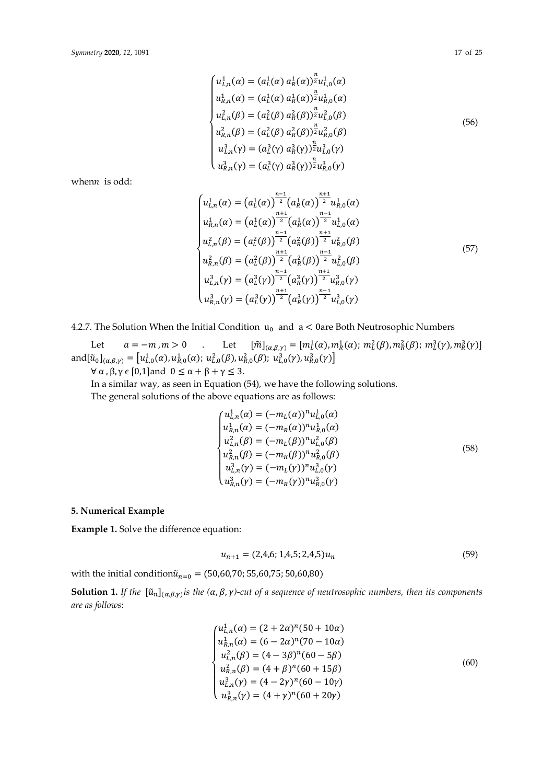$$
\begin{cases}\nu_{L,n}^{1}(\alpha) = (a_{L}^{1}(\alpha) a_{R}^{1}(\alpha))\overline{z}u_{L,0}^{1}(\alpha) \\
u_{R,n}^{1}(\alpha) = (a_{L}^{1}(\alpha) a_{R}^{1}(\alpha))\overline{z}u_{R,0}^{1}(\alpha) \\
u_{L,n}^{2}(\beta) = (a_{L}^{2}(\beta) a_{R}^{2}(\beta))\overline{z}u_{L,0}^{2}(\beta) \\
u_{R,n}^{2}(\beta) = (a_{L}^{2}(\beta) a_{R}^{2}(\beta))\overline{z}u_{R,0}^{2}(\beta) \\
u_{L,n}^{3}(\gamma) = (a_{L}^{3}(\gamma) a_{R}^{3}(\gamma))\overline{z}u_{L,0}^{3}(\gamma) \\
u_{R,n}^{3}(\gamma) = (a_{L}^{3}(\gamma) a_{R}^{3}(\gamma))\overline{z}u_{R,0}^{3}(\gamma)\n\end{cases}
$$
\n(56)

when $n$  is odd:

$$
\begin{cases}\nu_{L,n}^{1}(\alpha) = (a_{L}^{1}(\alpha))^{\frac{n-1}{2}} (a_{R}^{1}(\alpha))^{\frac{n+1}{2}} u_{R,0}^{1}(\alpha) \\
u_{R,n}^{1}(\alpha) = (a_{L}^{1}(\alpha))^{\frac{n+1}{2}} (a_{R}^{1}(\alpha))^{\frac{n-1}{2}} u_{L,0}^{1}(\alpha) \\
u_{L,n}^{2}(\beta) = (a_{L}^{2}(\beta))^{\frac{n-1}{2}} (a_{R}^{2}(\beta))^{\frac{n+1}{2}} u_{R,0}^{2}(\beta) \\
u_{R,n}^{2}(\beta) = (a_{L}^{2}(\beta))^{\frac{n+1}{2}} (a_{R}^{2}(\beta))^{\frac{n-1}{2}} u_{L,0}^{2}(\beta) \\
u_{L,n}^{3}(\gamma) = (a_{L}^{3}(\gamma))^{\frac{n-1}{2}} (a_{R}^{3}(\gamma))^{\frac{n+1}{2}} u_{R,0}^{3}(\gamma) \\
u_{R,n}^{3}(\gamma) = (a_{L}^{3}(\gamma))^{\frac{n+1}{2}} (a_{R}^{3}(\gamma))^{\frac{n-1}{2}} u_{L,0}^{3}(\gamma)\n\end{cases}
$$
\n(57)

శభ

4.2.7. The Solution When the Initial Condition  $u_0$  and  $a < 0$ are Both Neutrosophic Numbers

Let  $a = -m$ ,  $m > 0$  . Let  $[\tilde{m}]_{(\alpha,\beta,\gamma)} = [m_L^1(\alpha), m_R^1(\alpha); m_L^2(\beta), m_R^2(\beta); m_L^3(\gamma), m_R^3(\gamma)]$ and $[\tilde{u}_0]_{(\alpha,\beta,\gamma)} = [u_{L,0}^1(\alpha), u_{R,0}^1(\alpha); u_{L,0}^2(\beta), u_{R,0}^2(\beta); u_{L,0}^3(\gamma), u_{R,0}^3(\gamma)]$  $\forall \alpha, \beta, \gamma \in [0,1]$ and  $0 \leq \alpha + \beta + \gamma \leq 3$ .

In a similar way, as seen in Equation (54), we have the following solutions.

The general solutions of the above equations are as follows:

$$
\begin{cases}\nu_{L,n}^{1}(\alpha) = (-m_L(\alpha))^{n} u_{L,0}^{1}(\alpha) \\
u_{R,n}^{1}(\alpha) = (-m_R(\alpha))^{n} u_{R,0}^{1}(\alpha) \\
u_{L,n}^{2}(\beta) = (-m_L(\beta))^{n} u_{L,0}^{2}(\beta) \\
u_{R,n}^{2}(\beta) = (-m_R(\beta))^{n} u_{R,0}^{2}(\beta) \\
u_{L,n}^{3}(\gamma) = (-m_L(\gamma))^{n} u_{L,0}^{3}(\gamma) \\
u_{R,n}^{3}(\gamma) = (-m_R(\gamma))^{n} u_{R,0}^{3}(\gamma)\n\end{cases}
$$
\n(58)

## **5. Numerical Example**

**Example 1.** Solve the difference equation:

$$
u_{n+1} = (2, 4, 6; 1, 4, 5; 2, 4, 5)u_n \tag{59}
$$

with the initial condition $\tilde{u}_{n=0} = (50,60,70; 55,60,75; 50,60,80)$ 

**Solution 1.** *If the*  $[\tilde{u}_n]_{(\alpha,\beta,\gamma)}$ *is the*  $(\alpha,\beta,\gamma)$ -cut of a sequence of neutrosophic numbers, then its components *are as follows*:

$$
\begin{cases}\nu_{L,n}^1(\alpha) = (2 + 2\alpha)^n (50 + 10\alpha) \\
u_{R,n}^2(\alpha) = (6 - 2\alpha)^n (70 - 10\alpha) \\
u_{L,n}^2(\beta) = (4 - 3\beta)^n (60 - 5\beta) \\
u_{R,n}^2(\beta) = (4 + \beta)^n (60 + 15\beta) \\
u_{L,n}^3(\gamma) = (4 - 2\gamma)^n (60 - 10\gamma) \\
u_{R,n}^3(\gamma) = (4 + \gamma)^n (60 + 20\gamma)\n\end{cases}
$$
\n(60)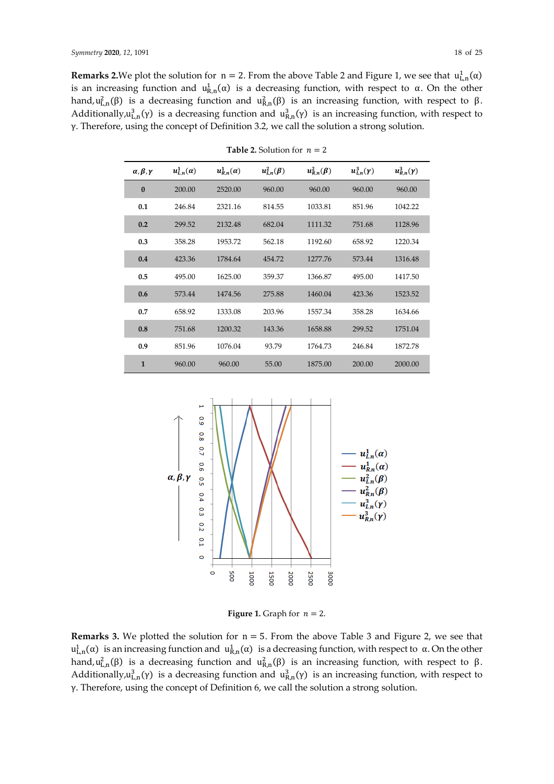**Remarks 2.**We plot the solution for  $n = 2$ . From the above Table 2 and Figure 1, we see that  $u_{L,n}^1(\alpha)$ is an increasing function and  $u_{R,n}^1(\alpha)$  is a decreasing function, with respect to  $\alpha$ . On the other hand,  $u_{L,n}^2(\beta)$  is a decreasing function and  $u_{R,n}^2(\beta)$  is an increasing function, with respect to β. Additionally,  $u_{L,n}^3(\gamma)$  is a decreasing function and  $u_{R,n}^3(\gamma)$  is an increasing function, with respect to γ. Therefore, using the concept of Definition 3.2, we call the solution a strong solution.

| $\alpha, \beta, \gamma$ | $u^1_{L,n}(\alpha)$ | $u_{R,n}^1(\alpha)$ | $u_{L,n}^2(\beta)$ | $u_{R,n}^2(\beta)$ | $u_{L,n}^3(\gamma)$ | $u_{R,n}^3(\gamma)$ |
|-------------------------|---------------------|---------------------|--------------------|--------------------|---------------------|---------------------|
| $\bf{0}$                | 200.00              | 2520.00             | 960.00             | 960.00             | 960.00              | 960.00              |
| 0.1                     | 246.84              | 2321.16             | 814.55             | 1033.81            | 851.96              | 1042.22             |
| 0.2                     | 299.52              | 2132.48             | 682.04             | 1111.32            | 751.68              | 1128.96             |
| 0.3                     | 358.28              | 1953.72             | 562.18             | 1192.60            | 658.92              | 1220.34             |
| 0.4                     | 423.36              | 1784.64             | 454.72             | 1277.76            | 573.44              | 1316.48             |
| 0.5                     | 495.00              | 1625.00             | 359.37             | 1366.87            | 495.00              | 1417.50             |
| 0.6                     | 573.44              | 1474.56             | 275.88             | 1460.04            | 423.36              | 1523.52             |
| 0.7                     | 658.92              | 1333.08             | 203.96             | 1557.34            | 358.28              | 1634.66             |
| 0.8                     | 751.68              | 1200.32             | 143.36             | 1658.88            | 299.52              | 1751.04             |
| 0.9                     | 851.96              | 1076.04             | 93.79              | 1764.73            | 246.84              | 1872.78             |
| $\mathbf{1}$            | 960.00              | 960.00              | 55.00              | 1875.00            | 200.00              | 2000.00             |

**Table 2.** Solution for  $n = 2$ 



**Figure 1.** Graph for  $n = 2$ .

**Remarks 3.** We plotted the solution for  $n = 5$ . From the above Table 3 and Figure 2, we see that  $u_{L,n}^1(\alpha)$  is an increasing function and  $u_{R,n}^1(\alpha)$  is a decreasing function, with respect to  $\alpha$ . On the other hand,  $u_{L,n}^2(\beta)$  is a decreasing function and  $u_{R,n}^2(\beta)$  is an increasing function, with respect to β. Additionally,  $u_{L,n}^3(\gamma)$  is a decreasing function and  $u_{R,n}^3(\gamma)$  is an increasing function, with respect to γ. Therefore, using the concept of Definition 6, we call the solution a strong solution.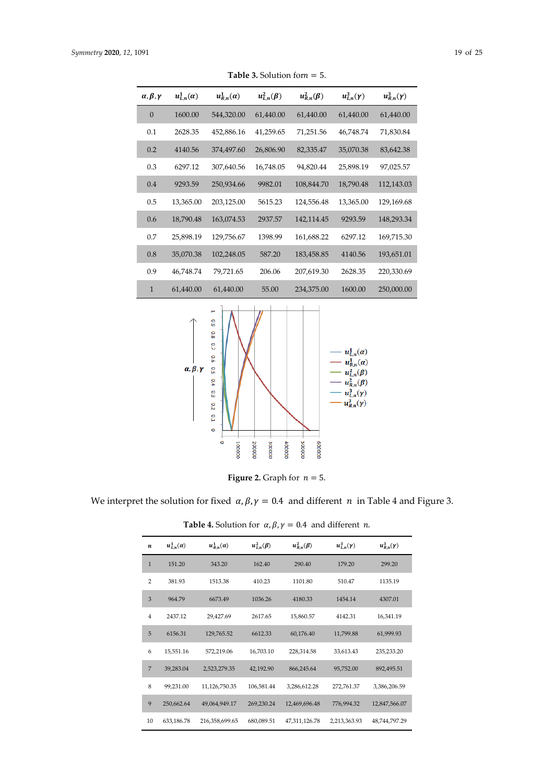| $\alpha, \beta, \gamma$ | $u^1_{L,n}(\alpha)$ | $u_{R,n}^1(\alpha)$ | $u_{L,n}^2(\beta)$ | $u_{R,n}^2(\beta)$ | $u^3_{L,n}(\gamma)$ | $u_{R,n}^3(\gamma)$ |
|-------------------------|---------------------|---------------------|--------------------|--------------------|---------------------|---------------------|
| $\theta$                | 1600.00             | 544,320.00          | 61,440.00          | 61,440.00          | 61,440.00           | 61,440.00           |
| 0.1                     | 2628.35             | 452,886.16          | 41,259.65          | 71,251.56          | 46,748.74           | 71,830.84           |
| 0.2                     | 4140.56             | 374,497.60          | 26,806.90          | 82,335.47          | 35,070.38           | 83,642.38           |
| 0.3                     | 6297.12             | 307,640.56          | 16,748.05          | 94,820.44          | 25,898.19           | 97,025.57           |
| 0.4                     | 9293.59             | 250,934.66          | 9982.01            | 108,844.70         | 18,790.48           | 112,143.03          |
| 0.5                     | 13,365.00           | 203,125.00          | 5615.23            | 124,556.48         | 13,365.00           | 129,169.68          |
| 0.6                     | 18,790.48           | 163,074.53          | 2937.57            | 142,114.45         | 9293.59             | 148,293.34          |
| 0.7                     | 25,898.19           | 129,756.67          | 1398.99            | 161,688.22         | 6297.12             | 169,715.30          |
| 0.8                     | 35,070.38           | 102,248.05          | 587.20             | 183,458.85         | 4140.56             | 193,651.01          |
| 0.9                     | 46,748.74           | 79,721.65           | 206.06             | 207,619.30         | 2628.35             | 220,330.69          |
| $\mathbf{1}$            | 61,440.00           | 61,440.00           | 55.00              | 234,375.00         | 1600.00             | 250,000.00          |

**Table 3.** Solution for  $n = 5$ .



**Figure 2.** Graph for  $n = 5$ .

We interpret the solution for fixed  $\alpha$ ,  $\beta$ ,  $\gamma$  = 0.4 and different *n* in Table 4 and Figure 3.

| n              | $u^1_{L,n}(\alpha)$ | $u_{R,n}^1(\alpha)$ | $u_{L,n}^2(\beta)$ | $u_{R,n}^2(\beta)$ | $u_{L,n}^3(\gamma)$ | $u_{R,n}^3(\gamma)$ |
|----------------|---------------------|---------------------|--------------------|--------------------|---------------------|---------------------|
| $\mathbf{1}$   | 151.20              | 343.20              | 162.40             | 290.40             | 179.20              | 299.20              |
| $\overline{2}$ | 381.93              | 1513.38             | 410.23             | 1101.80            | 510.47              | 1135.19             |
| 3              | 964.79              | 6673.49             | 1036.26            | 4180.33            | 1454.14             | 4307.01             |
| $\overline{4}$ | 2437.12             | 29,427.69           | 2617.65            | 15,860.57          | 4142.31             | 16,341.19           |
| 5              | 6156.31             | 129,765.52          | 6612.33            | 60,176.40          | 11,799.88           | 61,999.93           |
| 6              | 15,551.16           | 572,219.06          | 16,703.10          | 228,314.58         | 33,613.43           | 235,233.20          |
| $\overline{7}$ | 39,283.04           | 2,523,279.35        | 42,192.90          | 866,245.64         | 95,752.00           | 892,495.51          |
| 8              | 99,231.00           | 11,126,750.35       | 106,581.44         | 3,286,612.28       | 272,761.37          | 3,386,206.59        |
| 9              | 250,662.64          | 49,064,949.17       | 269,230.24         | 12,469,696.48      | 776,994.32          | 12,847,566.07       |
| 10             | 633,186.78          | 216,358,699.65      | 680,089.51         | 47,311,126.78      | 2,213,363.93        | 48,744,797.29       |

**Table 4.** Solution for  $\alpha$ ,  $\beta$ ,  $\gamma$  = 0.4 and different *n*.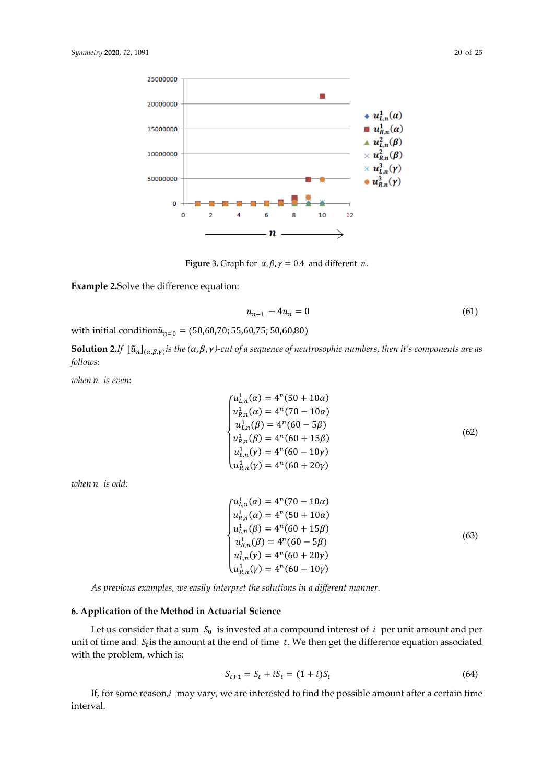

**Figure 3.** Graph for  $\alpha$ ,  $\beta$ ,  $\gamma$  = 0.4 and different *n*.

**Example 2.**Solve the difference equation:

$$
u_{n+1} - 4u_n = 0 \tag{61}
$$

with initial condition $\tilde{u}_{n=0} = (50,60,70; 55,60,75; 50,60,80)$ 

**Solution 2.***If*  $[\tilde{u}_n]_{(\alpha,\beta,\gamma)}$  *is the*  $(\alpha,\beta,\gamma)$ -cut of a sequence of neutrosophic numbers, then it's components are as *follows*:

*when is even*:

$$
\begin{cases}\nu_{L,n}^1(\alpha) = 4^n (50 + 10\alpha) \\
u_{R,n}^1(\alpha) = 4^n (70 - 10\alpha) \\
u_{L,n}^1(\beta) = 4^n (60 - 5\beta) \\
u_{R,n}^1(\beta) = 4^n (60 + 15\beta) \\
u_{L,n}^1(\gamma) = 4^n (60 - 10\gamma) \\
u_{R,n}^1(\gamma) = 4^n (60 + 20\gamma)\n\end{cases}
$$
\n(62)

*when is odd:* 

$$
\begin{cases}\nu_{L,n}^1(\alpha) = 4^n(70 - 10\alpha) \\
u_{R,n}^1(\alpha) = 4^n(50 + 10\alpha) \\
u_{L,n}^1(\beta) = 4^n(60 + 15\beta) \\
u_{R,n}^1(\beta) = 4^n(60 - 5\beta) \\
u_{L,n}^1(\gamma) = 4^n(60 + 20\gamma) \\
u_{R,n}^1(\gamma) = 4^n(60 - 10\gamma)\n\end{cases}
$$
\n(63)

*As previous examples, we easily interpret the solutions in a different manner*.

#### **6. Application of the Method in Actuarial Science**

Let us consider that a sum  $S_0$  is invested at a compound interest of  $i$  per unit amount and per unit of time and  $S_t$  is the amount at the end of time  $t$ . We then get the difference equation associated with the problem, which is:

$$
S_{t+1} = S_t + iS_t = (1+i)S_t
$$
\n(64)

If, for some reason, *i* may vary, we are interested to find the possible amount after a certain time interval.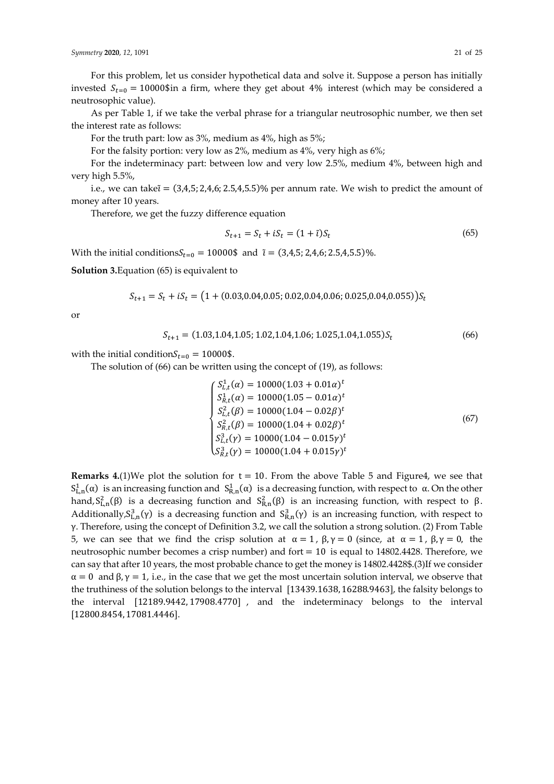For this problem, let us consider hypothetical data and solve it. Suppose a person has initially invested  $S_{t=0} = 10000\$ \$in a firm, where they get about 4% interest (which may be considered a neutrosophic value).

As per Table 1, if we take the verbal phrase for a triangular neutrosophic number, we then set the interest rate as follows:

For the truth part: low as 3%, medium as 4%, high as 5%;

For the falsity portion: very low as 2%, medium as 4%, very high as 6%;

For the indeterminacy part: between low and very low 2.5%, medium 4%, between high and very high 5.5%,

i.e., we can take $\tilde{i} = (3, 4, 5; 2, 4, 6; 2.5, 4, 5.5)$ % per annum rate. We wish to predict the amount of money after 10 years.

Therefore, we get the fuzzy difference equation

$$
S_{t+1} = S_t + iS_t = (1 + \tilde{\imath})S_t \tag{65}
$$

With the initial conditions $S_{t=0} = 10000\$ \$ and  $\tilde{\tau} = (3, 4, 5; 2, 4, 6; 2.5, 4, 5.5)\%$ .

**Solution 3.**Equation (65) is equivalent to

 $S_{t+1} = S_t + iS_t = (1 + (0.03, 0.04, 0.05, 0.02, 0.04, 0.06, 0.025, 0.04, 0.055))S_t$ 

or

$$
S_{t+1} = (1.03, 1.04, 1.05; 1.02, 1.04, 1.06; 1.025, 1.04, 1.055)S_t
$$
\n(66)

with the initial condition $S_{t=0} = 10000\$ \$.

The solution of (66) can be written using the concept of (19), as follows:

$$
\begin{cases}\nS_{L,t}^{1}(\alpha) = 10000(1.03 + 0.01\alpha)^{t} \\
S_{R,t}^{1}(\alpha) = 10000(1.05 - 0.01\alpha)^{t} \\
S_{L,t}^{2}(\beta) = 10000(1.04 - 0.02\beta)^{t} \\
S_{R,t}^{2}(\beta) = 10000(1.04 + 0.02\beta)^{t} \\
S_{L,t}^{3}(\gamma) = 10000(1.04 - 0.015\gamma)^{t} \\
S_{R,t}^{3}(\gamma) = 10000(1.04 + 0.015\gamma)^{t}\n\end{cases}
$$
\n(67)

**Remarks 4.**(1)We plot the solution for  $t = 10$ . From the above Table 5 and Figure4, we see that  $S_{L,n}^1(\alpha)$  is an increasing function and  $S_{R,n}^1(\alpha)$  is a decreasing function, with respect to α. On the other hand,  $S_{L,n}^2(\beta)$  is a decreasing function and  $S_{R,n}^2(\beta)$  is an increasing function, with respect to β. Additionally,  $S_{L,n}^3(\gamma)$  is a decreasing function and  $S_{R,n}^3(\gamma)$  is an increasing function, with respect to γ. Therefore, using the concept of Definition 3.2, we call the solution a strong solution. (2) From Table 5, we can see that we find the crisp solution at  $\alpha = 1$ ,  $\beta$ ,  $\gamma = 0$  (since, at  $\alpha = 1$ ,  $\beta$ ,  $\gamma = 0$ , the neutrosophic number becomes a crisp number) and fort = 10 is equal to 14802.4428. Therefore, we can say that after 10 years, the most probable chance to get the money is 14802.4428\$.(3)If we consider  $\alpha = 0$  and  $\beta$ ,  $\gamma = 1$ , i.e., in the case that we get the most uncertain solution interval, we observe that the truthiness of the solution belongs to the interval [13439.1638, 16288.9463], the falsity belongs to the interval [12189.9442, 17908.4770] , and the indeterminacy belongs to the interval [12800.8454, 17081.4446].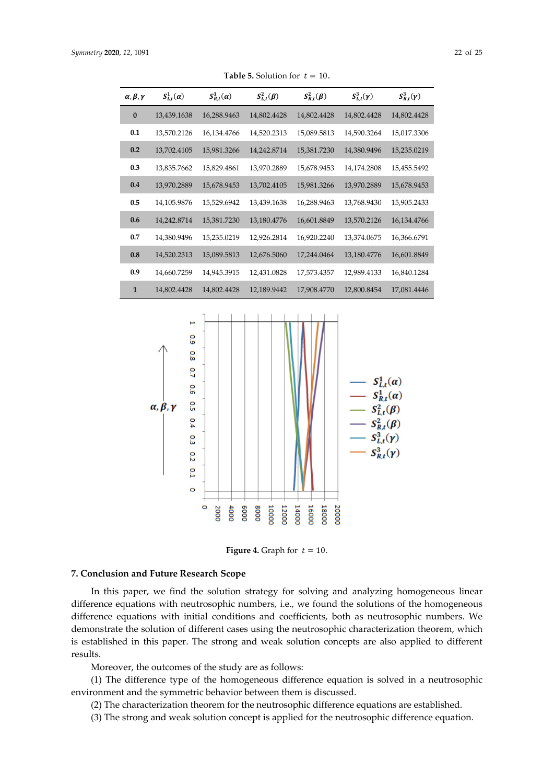| $\alpha, \beta, \gamma$ | $S^1_{L,t}(\alpha)$ | $S^1_{R,t}(\alpha)$ | $S^2_{L,t}(\beta)$ | $S_{R,t}^2(\beta)$ | $S^3_{L,t}(\gamma)$ | $S_{R,t}^3(\gamma)$ |
|-------------------------|---------------------|---------------------|--------------------|--------------------|---------------------|---------------------|
| $\bf{0}$                | 13,439.1638         | 16,288.9463         | 14,802.4428        | 14,802.4428        | 14,802.4428         | 14,802.4428         |
| 0.1                     | 13,570.2126         | 16,134.4766         | 14,520.2313        | 15,089.5813        | 14,590.3264         | 15,017.3306         |
| 0.2                     | 13,702.4105         | 15,981.3266         | 14,242.8714        | 15,381.7230        | 14,380.9496         | 15,235.0219         |
| 0.3                     | 13,835.7662         | 15,829.4861         | 13,970.2889        | 15,678.9453        | 14,174.2808         | 15,455.5492         |
| 0.4                     | 13,970.2889         | 15,678.9453         | 13,702.4105        | 15,981.3266        | 13,970.2889         | 15,678.9453         |
| 0.5                     | 14,105.9876         | 15,529.6942         | 13,439.1638        | 16,288.9463        | 13,768.9430         | 15,905.2433         |
| 0.6                     | 14,242.8714         | 15,381.7230         | 13,180.4776        | 16,601.8849        | 13,570.2126         | 16,134.4766         |
| 0.7                     | 14,380.9496         | 15,235.0219         | 12,926.2814        | 16,920.2240        | 13,374.0675         | 16,366.6791         |
| 0.8                     | 14,520.2313         | 15,089.5813         | 12,676.5060        | 17,244.0464        | 13,180.4776         | 16,601.8849         |
| 0.9                     | 14,660.7259         | 14,945.3915         | 12,431.0828        | 17,573.4357        | 12,989.4133         | 16,840.1284         |
| $\mathbf{1}$            | 14,802.4428         | 14,802.4428         | 12,189.9442        | 17,908.4770        | 12,800.8454         | 17,081.4446         |

**Table 5.** Solution for  $t = 10$ .



**Figure 4.** Graph for  $t = 10$ .

#### **7. Conclusion and Future Research Scope**

In this paper, we find the solution strategy for solving and analyzing homogeneous linear difference equations with neutrosophic numbers, i.e., we found the solutions of the homogeneous difference equations with initial conditions and coefficients, both as neutrosophic numbers. We demonstrate the solution of different cases using the neutrosophic characterization theorem, which is established in this paper. The strong and weak solution concepts are also applied to different results.

Moreover, the outcomes of the study are as follows:

(1) The difference type of the homogeneous difference equation is solved in a neutrosophic environment and the symmetric behavior between them is discussed.

(2) The characterization theorem for the neutrosophic difference equations are established.

(3) The strong and weak solution concept is applied for the neutrosophic difference equation.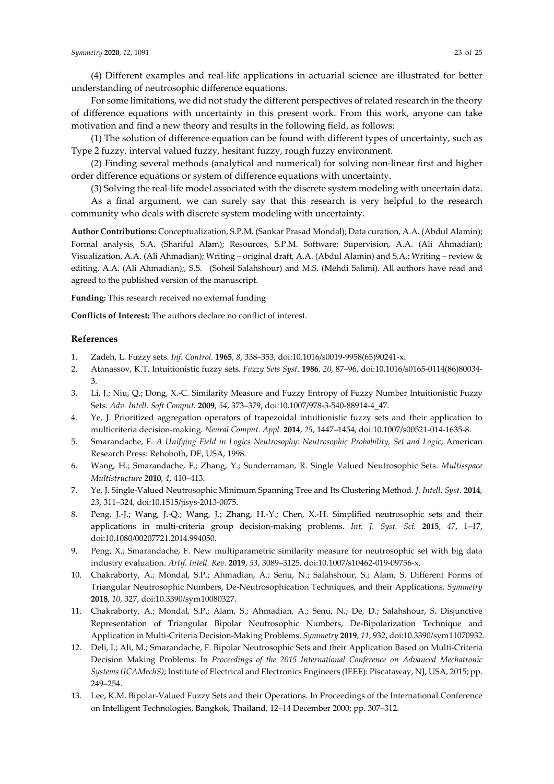(4) Different examples and real-life applications in actuarial science are illustrated for better understanding of neutrosophic difference equations.

For some limitations, we did not study the different perspectives of related research in the theory of difference equations with uncertainty in this present work. From this work, anyone can take motivation and find a new theory and results in the following field, as follows:

(1) The solution of difference equation can be found with different types of uncertainty, such as Type 2 fuzzy, interval valued fuzzy, hesitant fuzzy, rough fuzzy environment.

(2) Finding several methods (analytical and numerical) for solving non-linear first and higher order difference equations or system of difference equations with uncertainty.

(3) Solving the real-life model associated with the discrete system modeling with uncertain data.

As a final argument, we can surely say that this research is very helpful to the research community who deals with discrete system modeling with uncertainty.

**Author Contributions:** Conceptualization, S.P.M. (Sankar Prasad Mondal); Data curation, A.A. (Abdul Alamin); Formal analysis, S.A. (Shariful Alam); Resources, S.P.M. Software; Supervision, A.A. (Ali Ahmadian); Visualization, A.A. (Ali Ahmadian); Writing – original draft, A.A. (Abdul Alamin) and S.A.; Writing – review & editing, A.A. (Ali Ahmadian);, S.S. (Soheil Salahshour) and M.S. (Mehdi Salimi). All authors have read and agreed to the published version of the manuscript.

**Funding:** This research received no external funding

**Conflicts of Interest:** The authors declare no conflict of interest.

# **References**

- 1. Zadeh, L. Fuzzy sets. *Inf. Control.* **1965**, *8*, 338–353, doi:10.1016/s0019-9958(65)90241-x.
- 2. Atanassov, K.T. Intuitionistic fuzzy sets. *Fuzzy Sets Syst.* **1986**, *20*, 87–96, doi:10.1016/s0165-0114(86)80034- 3.
- 3. Li, J.; Niu, Q.; Dong, X.-C. Similarity Measure and Fuzzy Entropy of Fuzzy Number Intuitionistic Fuzzy Sets. *Adv. Intell. Soft Comput.* **2009**, *54*, 373–379, doi:10.1007/978-3-540-88914-4\_47.
- 4. Ye, J. Prioritized aggregation operators of trapezoidal intuitionistic fuzzy sets and their application to multicriteria decision-making. *Neural Comput. Appl.* **2014**, *25*, 1447–1454, doi:10.1007/s00521-014-1635-8.
- 5. Smarandache, F. *A Unifying Field in Logics Neutrosophy: Neutrosophic Probability, Set and Logic*; American Research Press: Rehoboth, DE, USA, 1998.
- 6. Wang, H.; Smarandache, F.; Zhang, Y.; Sunderraman, R. Single Valued Neutrosophic Sets. *Multisspace Multistructure* **2010**, *4*, 410–413.
- 7. Ye, J. Single-Valued Neutrosophic Minimum Spanning Tree and Its Clustering Method. *J. Intell. Syst.* **2014**, *23*, 311–324, doi:10.1515/jisys-2013-0075.
- 8. Peng, J.-J.; Wang, J.-Q.; Wang, J.; Zhang, H.-Y.; Chen, X.-H. Simplified neutrosophic sets and their applications in multi-criteria group decision-making problems. *Int. J. Syst. Sci.* **2015**, *47*, 1–17, doi:10.1080/00207721.2014.994050.
- 9. Peng, X.; Smarandache, F. New multiparametric similarity measure for neutrosophic set with big data industry evaluation. *Artif. Intell. Rev.* **2019**, *53*, 3089–3125, doi:10.1007/s10462-019-09756-x.
- 10. Chakraborty, A.; Mondal, S.P.; Ahmadian, A.; Senu, N.; Salahshour, S.; Alam, S. Different Forms of Triangular Neutrosophic Numbers, De-Neutrosophication Techniques, and their Applications. *Symmetry*  **2018**, *10*, 327, doi:10.3390/sym10080327.
- 11. Chakraborty, A.; Mondal, S.P.; Alam, S.; Ahmadian, A.; Senu, N.; De, D.; Salahshour, S. Disjunctive Representation of Triangular Bipolar Neutrosophic Numbers, De-Bipolarization Technique and Application in Multi-Criteria Decision-Making Problems. *Symmetry* **2019**, *11*, 932, doi:10.3390/sym11070932.
- 12. Deli, I.; Ali, M.; Smarandache, F. Bipolar Neutrosophic Sets and their Application Based on Multi-Criteria Decision Making Problems. In *Proceedings of the 2015 International Conference on Advanced Mechatronic Systems (ICAMechS)*; Institute of Electrical and Electronics Engineers (IEEE): Piscataway, NJ, USA, 2015; pp. 249–254.
- 13. Lee, K.M. Bipolar-Valued Fuzzy Sets and their Operations. In Proceedings of the International Conference on Intelligent Technologies, Bangkok, Thailand, 12–14 December 2000; pp. 307–312.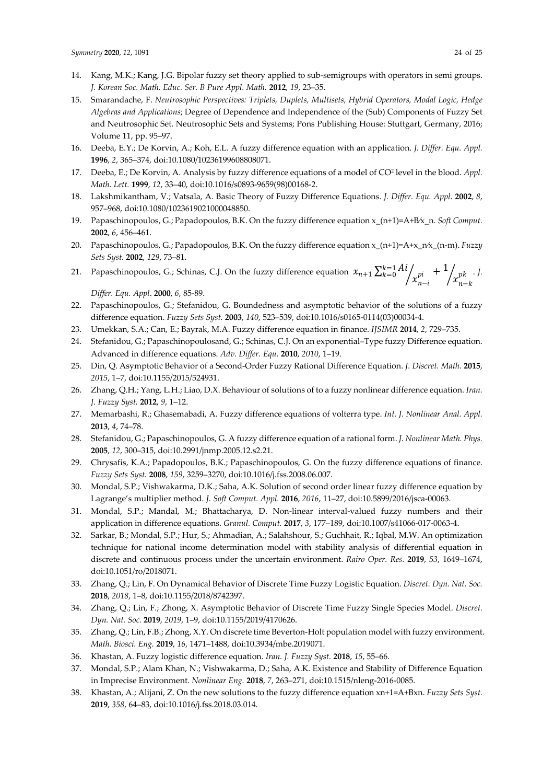- 14. Kang, M.K.; Kang, J.G. Bipolar fuzzy set theory applied to sub-semigroups with operators in semi groups. *J. Korean Soc. Math. Educ. Ser. B Pure Appl. Math.* **2012**, *19*, 23–35.
- 15. Smarandache, F. *Neutrosophic Perspectives: Triplets, Duplets, Multisets, Hybrid Operators, Modal Logic, Hedge Algebras and Applications*; Degree of Dependence and Independence of the (Sub) Components of Fuzzy Set and Neutrosophic Set. Neutrosophic Sets and Systems; Pons Publishing House: Stuttgart, Germany, 2016; Volume 11, pp. 95–97.
- 16. Deeba, E.Y.; De Korvin, A.; Koh, E.L. A fuzzy difference equation with an application. *J. Differ. Equ. Appl.*  **1996**, *2*, 365–374, doi:10.1080/10236199608808071.
- 17. Deeba, E.; De Korvin, A. Analysis by fuzzy difference equations of a model of CO2 level in the blood. *Appl. Math. Lett.* **1999**, *12*, 33–40, doi:10.1016/s0893-9659(98)00168-2.
- 18. Lakshmikantham, V.; Vatsala, A. Basic Theory of Fuzzy Difference Equations. *J. Differ. Equ. Appl.* **2002**, *8*, 957–968, doi:10.1080/1023619021000048850.
- 19. Papaschinopoulos, G.; Papadopoulos, B.K. On the fuzzy difference equation x\_(n+1)=A+B⁄x\_n. *Soft Comput.*  **2002**, *6*, 456–461.
- 20. Papaschinopoulos, G.; Papadopoulos, B.K. On the fuzzy difference equation x\_(n+1)=A+x\_n⁄x\_(n-m). *Fuzzy Sets Syst.* **2002**, *129*, 73–81.
- 21. Papaschinopoulos, G.; Schinas, C.J. On the fuzzy difference equation  $x_{n+1} \sum_{k=0}^{k=1} Ai$  $\int_{i}^{i} \left( x_{n-i}^{pi} + 1 \right)$  $\int_{k=0}^{k=1} Ai \frac{\lambda i}{x_{n-i}^{pi}} + \frac{1}{x_{n-k}^{pk}}$ . *J.*

*Differ. Equ. Appl*. **2000**, *6*, 85-89.

- 22. Papaschinopoulos, G.; Stefanidou, G. Boundedness and asymptotic behavior of the solutions of a fuzzy difference equation. *Fuzzy Sets Syst.* **2003**, *140*, 523–539, doi:10.1016/s0165-0114(03)00034-4.
- 23. Umekkan, S.A.; Can, E.; Bayrak, M.A. Fuzzy difference equation in finance. *IJSIMR* **2014**, *2*, 729–735.
- 24. Stefanidou, G.; Papaschinopoulosand, G.; Schinas, C.J. On an exponential–Type fuzzy Difference equation. Advanced in difference equations. *Adv. Differ. Equ.* **2010**, *2010*, 1–19.
- 25. Din, Q. Asymptotic Behavior of a Second-Order Fuzzy Rational Difference Equation. *J. Discret. Math.* **2015**, *2015*, 1–7, doi:10.1155/2015/524931.
- 26. Zhang, Q.H.; Yang, L.H.; Liao, D.X. Behaviour of solutions of to a fuzzy nonlinear difference equation. *Iran. J. Fuzzy Syst.* **2012**, *9*, 1–12.
- 27. Memarbashi, R.; Ghasemabadi, A. Fuzzy difference equations of volterra type. *Int. J. Nonlinear Anal. Appl.*  **2013**, *4*, 74–78.
- 28. Stefanidou, G.; Papaschinopoulos, G. A fuzzy difference equation of a rational form. *J. Nonlinear Math. Phys.*  **2005**, *12*, 300–315, doi:10.2991/jnmp.2005.12.s2.21.
- 29. Chrysafis, K.A.; Papadopoulos, B.K.; Papaschinopoulos, G. On the fuzzy difference equations of finance. *Fuzzy Sets Syst.* **2008**, *159*, 3259–3270, doi:10.1016/j.fss.2008.06.007.
- 30. Mondal, S.P.; Vishwakarma, D.K.; Saha, A.K. Solution of second order linear fuzzy difference equation by Lagrange's multiplier method. *J. Soft Comput. Appl.* **2016**, *2016*, 11–27, doi:10.5899/2016/jsca-00063.
- 31. Mondal, S.P.; Mandal, M.; Bhattacharya, D. Non-linear interval-valued fuzzy numbers and their application in difference equations. *Granul. Comput.* **2017**, *3*, 177–189, doi:10.1007/s41066-017-0063-4.
- 32. Sarkar, B.; Mondal, S.P.; Hur, S.; Ahmadian, A.; Salahshour, S.; Guchhait, R.; Iqbal, M.W. An optimization technique for national income determination model with stability analysis of differential equation in discrete and continuous process under the uncertain environment. *Rairo Oper. Res.* **2019**, *53*, 1649–1674, doi:10.1051/ro/2018071.
- 33. Zhang, Q.; Lin, F. On Dynamical Behavior of Discrete Time Fuzzy Logistic Equation. *Discret. Dyn. Nat. Soc.*  **2018**, *2018*, 1–8, doi:10.1155/2018/8742397.
- 34. Zhang, Q.; Lin, F.; Zhong, X. Asymptotic Behavior of Discrete Time Fuzzy Single Species Model. *Discret. Dyn. Nat. Soc.* **2019**, *2019*, 1–9, doi:10.1155/2019/4170626.
- 35. Zhang, Q.; Lin, F.B.; Zhong, X.Y. On discrete time Beverton-Holt population model with fuzzy environment. *Math. Biosci. Eng.* **2019**, *16*, 1471–1488, doi:10.3934/mbe.2019071.
- 36. Khastan, A. Fuzzy logistic difference equation. *Iran. J. Fuzzy Syst.* **2018**, *15*, 55–66.
- 37. Mondal, S.P.; Alam Khan, N.; Vishwakarma, D.; Saha, A.K. Existence and Stability of Difference Equation in Imprecise Environment. *Nonlinear Eng.* **2018**, *7*, 263–271, doi:10.1515/nleng-2016-0085.
- 38. Khastan, A.; Alijani, Z. On the new solutions to the fuzzy difference equation xn+1=A+Bxn. *Fuzzy Sets Syst.*  **2019**, *358*, 64–83, doi:10.1016/j.fss.2018.03.014.